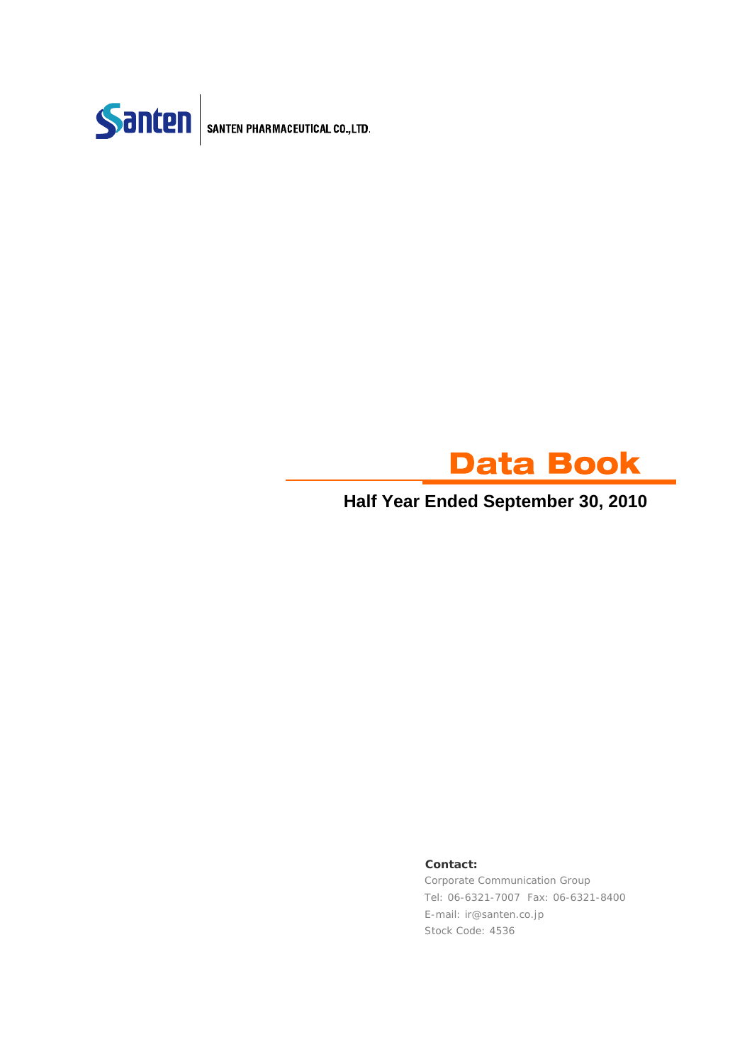



### **Half Year Ended September 30, 2010**

#### **Contact:**

Corporate Communication Group Tel: 06-6321-7007 Fax: 06-6321-8400 E-mail: ir@santen.co.jp Stock Code: 4536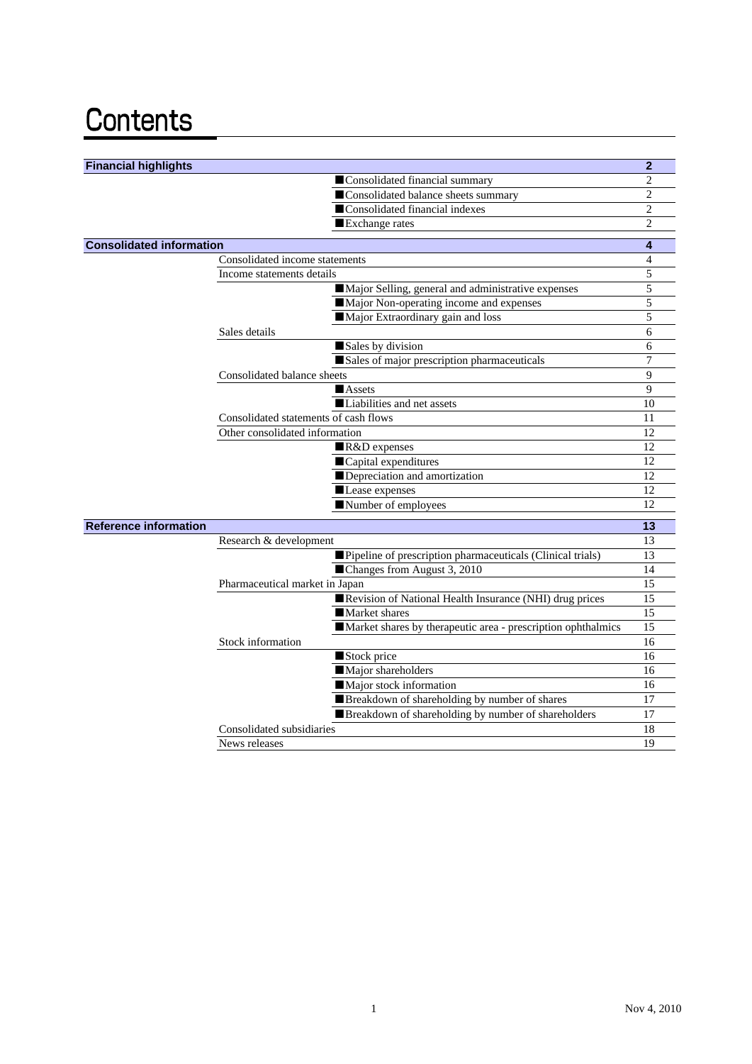# Contents

| <b>Financial highlights</b>     |                                                              | $\overline{2}$ |
|---------------------------------|--------------------------------------------------------------|----------------|
|                                 | Consolidated financial summary                               | $\overline{2}$ |
|                                 | Consolidated balance sheets summary                          | 2              |
|                                 | Consolidated financial indexes                               | $\overline{2}$ |
|                                 | Exchange rates                                               | $\overline{2}$ |
| <b>Consolidated information</b> |                                                              | 4              |
|                                 | Consolidated income statements                               | 4              |
|                                 | Income statements details                                    | 5              |
|                                 | Major Selling, general and administrative expenses           | 5              |
|                                 | Major Non-operating income and expenses                      | 5              |
|                                 | Major Extraordinary gain and loss                            | 5              |
|                                 | Sales details                                                | 6              |
|                                 | Sales by division                                            | 6              |
|                                 | Sales of major prescription pharmaceuticals                  | 7              |
|                                 | Consolidated balance sheets                                  | 9              |
|                                 | <b>Assets</b>                                                | 9              |
|                                 | Liabilities and net assets                                   | 10             |
|                                 | Consolidated statements of cash flows                        | 11             |
|                                 | Other consolidated information                               | 12             |
|                                 | R&D expenses                                                 | 12             |
|                                 | Capital expenditures                                         | 12             |
|                                 | Depreciation and amortization                                | 12             |
|                                 | Lease expenses                                               | 12             |
|                                 | Number of employees                                          | 12             |
| <b>Reference information</b>    |                                                              | 13             |
|                                 | Research & development                                       | 13             |
|                                 | Pipeline of prescription pharmaceuticals (Clinical trials)   | 13             |
|                                 | Changes from August 3, 2010                                  | 14             |
|                                 | Pharmaceutical market in Japan                               | 15             |
|                                 | Revision of National Health Insurance (NHI) drug prices      | 15             |
|                                 | Market shares                                                | 15             |
|                                 | Market shares by therapeutic area - prescription ophthalmics | 15             |
|                                 | Stock information                                            | 16             |
|                                 | Stock price                                                  | 16             |
|                                 | Major shareholders                                           | 16             |
|                                 | Major stock information                                      | 16             |
|                                 | Breakdown of shareholding by number of shares                | 17             |
|                                 | Breakdown of shareholding by number of shareholders          | 17             |
|                                 | Consolidated subsidiaries                                    | 18             |
|                                 | News releases                                                | 19             |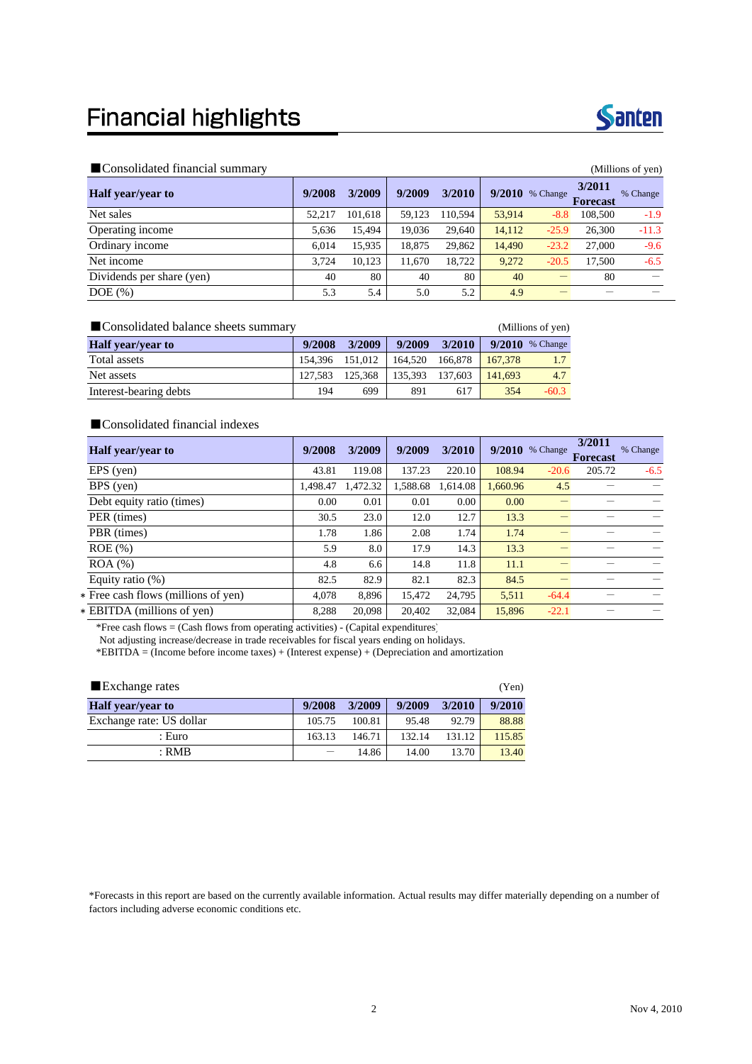### **Financial highlights**



#### ■Consolidated financial summary (Millions of yen)

| $\blacksquare$ comoontatted minimizità ottimità $\eta$<br>(1.1111110110011, 0.01) |        |         |        |         |        |          |                           |          |
|-----------------------------------------------------------------------------------|--------|---------|--------|---------|--------|----------|---------------------------|----------|
| <b>Half</b> year/year to                                                          | 9/2008 | 3/2009  | 9/2009 | 3/2010  | 9/2010 | % Change | 3/2011<br><b>Forecast</b> | % Change |
| Net sales                                                                         | 52.217 | 101,618 | 59.123 | 110.594 | 53.914 | $-8.8$   | 108,500                   | $-1.9$   |
| Operating income                                                                  | 5,636  | 15,494  | 19.036 | 29.640  | 14,112 | $-25.9$  | 26,300                    | $-11.3$  |
| Ordinary income                                                                   | 6.014  | 15,935  | 18,875 | 29,862  | 14.490 | $-23.2$  | 27,000                    | $-9.6$   |
| Net income                                                                        | 3.724  | 10.123  | 11,670 | 18.722  | 9,272  | $-20.5$  | 17.500                    | $-6.5$   |
| Dividends per share (yen)                                                         | 40     | 80      | 40     | 80      | 40     |          | 80                        |          |
| $DOE$ $(\%)$                                                                      | 5.3    | 5.4     | 5.0    | 5.2     | 4.9    |          |                           |          |

■Consolidated balance sheets summary (Millions of yen)

| <b>Half</b> year/year to | 9/2008          | 3/2009  | 9/2009  | 3/2010  |         | $9/2010$ % Change |
|--------------------------|-----------------|---------|---------|---------|---------|-------------------|
| Total assets             | 154,396 151,012 |         | 164.520 | 166.878 | 167.378 |                   |
| Net assets               | 127.583         | 125,368 | 135.393 | 137.603 | 141.693 | 4.7               |
| Interest-bearing debts   | 194             | 699     | 891     | 617     | 354     | $-60.3$           |

#### ■ Consolidated financial indexes

| <b>Half</b> year/year to            | 9/2008   | 3/2009   | 9/2009   | 3/2010   |          | 9/2010 % Change | 3/2011<br><b>Forecast</b> | % Change |
|-------------------------------------|----------|----------|----------|----------|----------|-----------------|---------------------------|----------|
| EPS (yen)                           | 43.81    | 119.08   | 137.23   | 220.10   | 108.94   | $-20.6$         | 205.72                    | $-6.5$   |
| BPS (yen)                           | 1,498.47 | 1,472.32 | 1,588.68 | 1.614.08 | 1.660.96 | 4.5             |                           |          |
| Debt equity ratio (times)           | 0.00     | 0.01     | 0.01     | 0.00     | 0.00     |                 |                           |          |
| PER (times)                         | 30.5     | 23.0     | 12.0     | 12.7     | 13.3     |                 |                           |          |
| PBR (times)                         | 1.78     | 1.86     | 2.08     | 1.74     | 1.74     |                 |                           |          |
| $ROE$ $%$                           | 5.9      | 8.0      | 17.9     | 14.3     | 13.3     |                 |                           |          |
| $ROA$ $%$                           | 4.8      | 6.6      | 14.8     | 11.8     | 11.1     |                 |                           |          |
| Equity ratio $(\%)$                 | 82.5     | 82.9     | 82.1     | 82.3     | 84.5     |                 |                           |          |
| * Free cash flows (millions of yen) | 4,078    | 8,896    | 15,472   | 24,795   | 5,511    | $-64.4$         |                           |          |
| * EBITDA (millions of yen)          | 8.288    | 20,098   | 20.402   | 32,084   | 15.896   | $-22.1$         |                           |          |

\*Free cash flows = (Cash flows from operating activities) - (Capital expenditures)

Not adjusting increase/decrease in trade receivables for fiscal years ending on holidays.

\*EBITDA = (Income before income taxes) + (Interest expense) + (Depreciation and amortization

| ■ Exchange rates         |        |        |        |        |        |  |  |  |  |
|--------------------------|--------|--------|--------|--------|--------|--|--|--|--|
| <b>Half</b> year/year to | 9/2008 | 3/2009 | 9/2009 | 3/2010 | 9/2010 |  |  |  |  |
| Exchange rate: US dollar | 105.75 | 100.81 | 95.48  | 92.79  | 88.88  |  |  |  |  |
| : Euro                   | 163.13 | 146.71 | 132.14 | 131.12 | 115.85 |  |  |  |  |
| $:$ RMB                  |        | 14.86  | 14.00  | 13.70  | 13.40  |  |  |  |  |

\*Forecasts in this report are based on the currently available information. Actual results may differ materially depending on a number of factors including adverse economic conditions etc.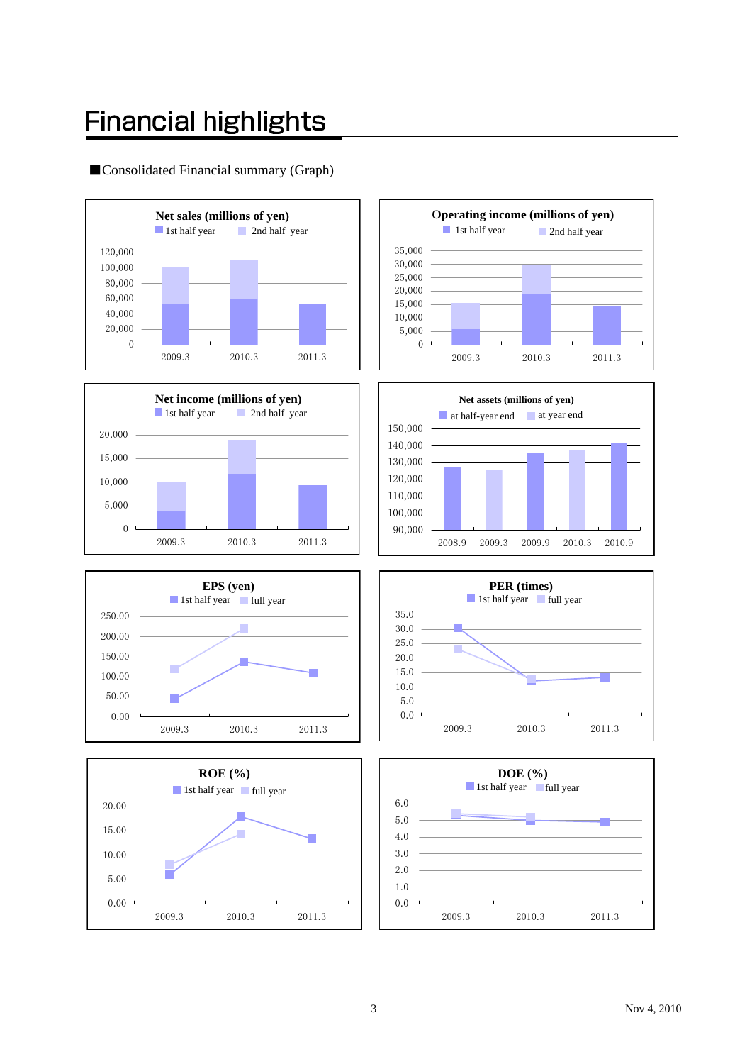# **Financial highlights**

### ■Consolidated Financial summary (Graph)















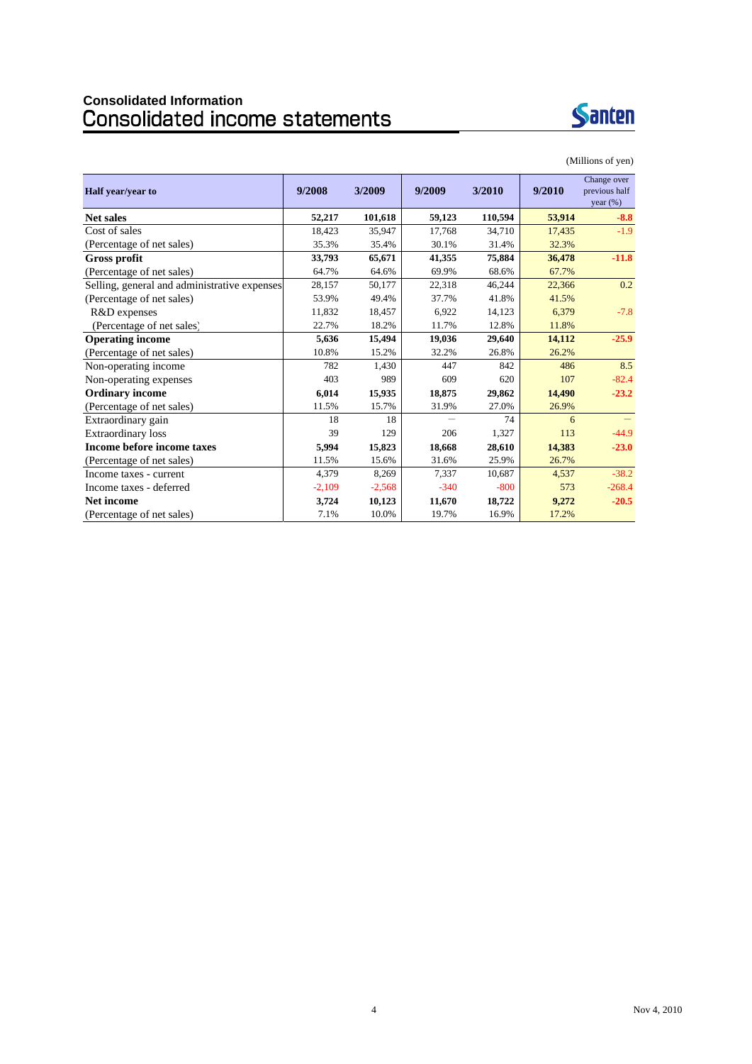# **Consolidated Information**



| Half year/year to                            | 9/2008   | 3/2009   | 9/2009 | 3/2010  | 9/2010 | Change over<br>previous half<br>year $(\%)$ |
|----------------------------------------------|----------|----------|--------|---------|--------|---------------------------------------------|
| <b>Net sales</b>                             | 52,217   | 101,618  | 59,123 | 110,594 | 53,914 | $-8.8$                                      |
| Cost of sales                                | 18,423   | 35,947   | 17,768 | 34,710  | 17,435 | $-1.9$                                      |
| (Percentage of net sales)                    | 35.3%    | 35.4%    | 30.1%  | 31.4%   | 32.3%  |                                             |
| Gross profit                                 | 33,793   | 65,671   | 41,355 | 75,884  | 36,478 | $-11.8$                                     |
| (Percentage of net sales)                    | 64.7%    | 64.6%    | 69.9%  | 68.6%   | 67.7%  |                                             |
| Selling, general and administrative expenses | 28,157   | 50,177   | 22,318 | 46,244  | 22,366 | 0.2                                         |
| (Percentage of net sales)                    | 53.9%    | 49.4%    | 37.7%  | 41.8%   | 41.5%  |                                             |
| R&D expenses                                 | 11,832   | 18,457   | 6,922  | 14,123  | 6,379  | $-7.8$                                      |
| (Percentage of net sales)                    | 22.7%    | 18.2%    | 11.7%  | 12.8%   | 11.8%  |                                             |
| <b>Operating income</b>                      | 5,636    | 15,494   | 19,036 | 29,640  | 14,112 | $-25.9$                                     |
| (Percentage of net sales)                    | 10.8%    | 15.2%    | 32.2%  | 26.8%   | 26.2%  |                                             |
| Non-operating income                         | 782      | 1,430    | 447    | 842     | 486    | 8.5                                         |
| Non-operating expenses                       | 403      | 989      | 609    | 620     | 107    | $-82.4$                                     |
| <b>Ordinary income</b>                       | 6,014    | 15,935   | 18,875 | 29,862  | 14,490 | $-23.2$                                     |
| (Percentage of net sales)                    | 11.5%    | 15.7%    | 31.9%  | 27.0%   | 26.9%  |                                             |
| Extraordinary gain                           | 18       | 18       |        | 74      | 6      |                                             |
| <b>Extraordinary loss</b>                    | 39       | 129      | 206    | 1,327   | 113    | $-44.9$                                     |
| Income before income taxes                   | 5,994    | 15,823   | 18,668 | 28,610  | 14,383 | $-23.0$                                     |
| (Percentage of net sales)                    | 11.5%    | 15.6%    | 31.6%  | 25.9%   | 26.7%  |                                             |
| Income taxes - current                       | 4,379    | 8,269    | 7,337  | 10,687  | 4,537  | $-38.2$                                     |
| Income taxes - deferred                      | $-2,109$ | $-2,568$ | $-340$ | $-800$  | 573    | $-268.4$                                    |
| <b>Net income</b>                            | 3,724    | 10,123   | 11,670 | 18,722  | 9,272  | $-20.5$                                     |
| (Percentage of net sales)                    | 7.1%     | 10.0%    | 19.7%  | 16.9%   | 17.2%  |                                             |

#### (Millions of yen)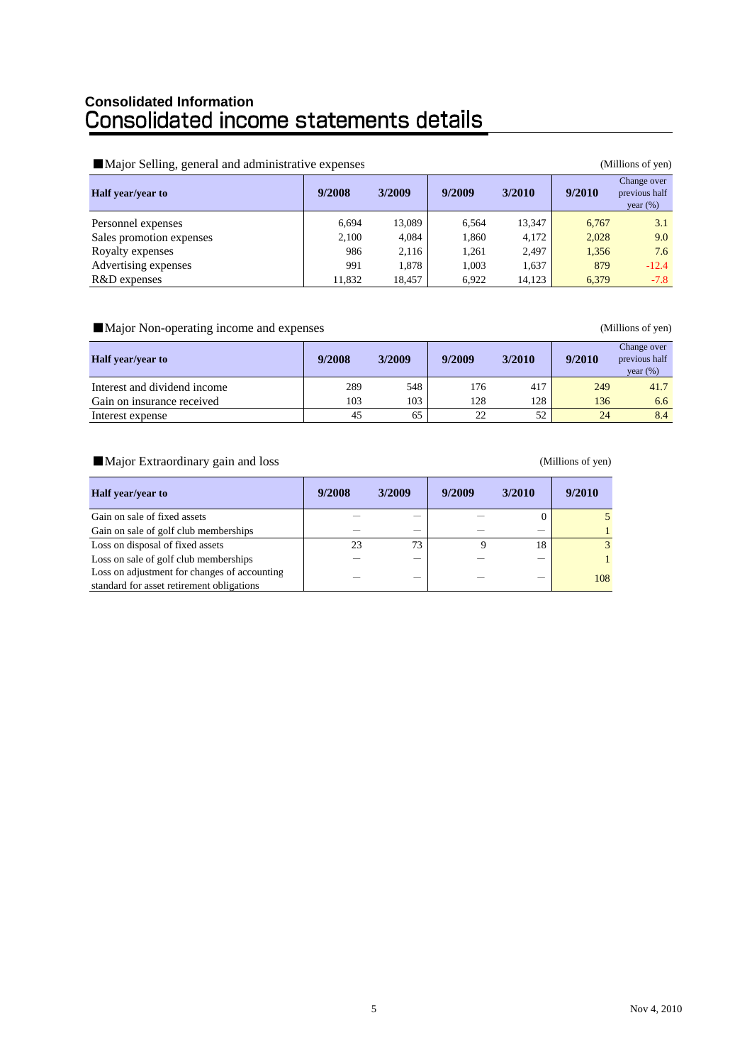# **Consolidated Information**

#### ■Major Selling, general and administrative expenses (Millions of yen)

| $\rightarrow$            |        |        |        |        |        |                                             |
|--------------------------|--------|--------|--------|--------|--------|---------------------------------------------|
| Half year/year to        | 9/2008 | 3/2009 | 9/2009 | 3/2010 | 9/2010 | Change over<br>previous half<br>year $(\%)$ |
| Personnel expenses       | 6.694  | 13,089 | 6,564  | 13,347 | 6,767  | 3.1                                         |
| Sales promotion expenses | 2,100  | 4,084  | 1,860  | 4.172  | 2,028  | 9.0                                         |
| Royalty expenses         | 986    | 2,116  | 1,261  | 2,497  | 1,356  | 7.6                                         |
| Advertising expenses     | 991    | 1.878  | 1,003  | 1,637  | 879    | $-12.4$                                     |
| R&D expenses             | 11,832 | 18,457 | 6.922  | 14,123 | 6,379  | $-7.8$                                      |

### ■Major Non-operating income and expenses (Millions of yen)

| <b>Half</b> year/year to     | 9/2008 | 3/2009 | 9/2009 | 3/2010 | 9/2010 | Change over<br>previous half<br>year $(\%)$ |
|------------------------------|--------|--------|--------|--------|--------|---------------------------------------------|
| Interest and dividend income | 289    | 548    | 176    | 417    | 249    | 41.7                                        |
| Gain on insurance received   | 103    | 103    | 128    | 128    | 136    | 6.6                                         |
| Interest expense             | 45     | 65     | 22     | 52     | 24     | 8.4                                         |

#### ■Major Extraordinary gain and loss (Millions of yen)

| <b>Half</b> year/year to                     | 9/2008 | 3/2009 | 9/2009 | 3/2010 | 9/2010 |
|----------------------------------------------|--------|--------|--------|--------|--------|
| Gain on sale of fixed assets                 |        |        |        |        |        |
| Gain on sale of golf club memberships        |        |        |        |        |        |
| Loss on disposal of fixed assets             | 23     | 73     |        | 18     | 3      |
| Loss on sale of golf club memberships        |        |        |        |        |        |
| Loss on adjustment for changes of accounting |        |        |        |        | 108    |
| standard for asset retirement obligations    |        |        |        |        |        |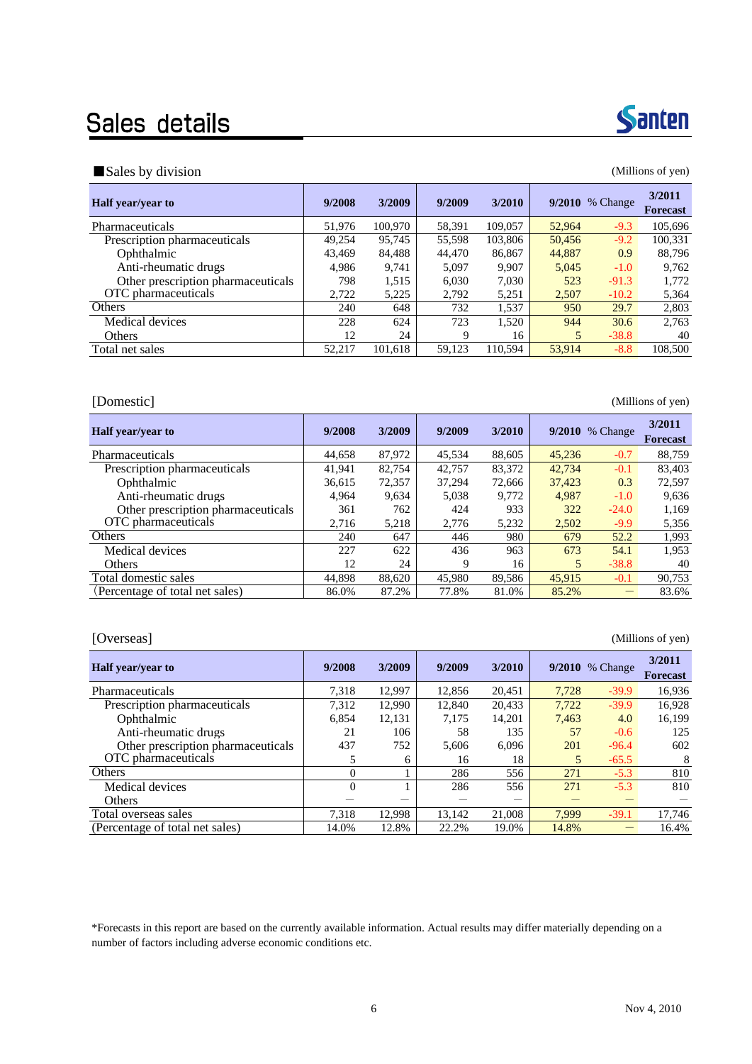## Sales details

### ■Sales by division (Millions of yen)

| Half year/year to                  | 9/2008 | 3/2009  | 9/2009 | 3/2010  | 9/2010 | % Change | 3/2011<br><b>Forecast</b> |
|------------------------------------|--------|---------|--------|---------|--------|----------|---------------------------|
| Pharmaceuticals                    | 51,976 | 100.970 | 58,391 | 109,057 | 52,964 | $-9.3$   | 105.696                   |
| Prescription pharmaceuticals       | 49,254 | 95,745  | 55,598 | 103,806 | 50,456 | $-9.2$   | 100,331                   |
| Ophthalmic                         | 43,469 | 84,488  | 44,470 | 86,867  | 44,887 | 0.9      | 88.796                    |
| Anti-rheumatic drugs               | 4.986  | 9.741   | 5,097  | 9.907   | 5,045  | $-1.0$   | 9,762                     |
| Other prescription pharmaceuticals | 798    | 1,515   | 6.030  | 7.030   | 523    | $-91.3$  | 1,772                     |
| OTC pharmaceuticals                | 2,722  | 5,225   | 2,792  | 5,251   | 2,507  | $-10.2$  | 5,364                     |
| Others                             | 240    | 648     | 732    | 1,537   | 950    | 29.7     | 2,803                     |
| Medical devices                    | 228    | 624     | 723    | 1.520   | 944    | 30.6     | 2.763                     |
| <b>Others</b>                      | 12     | 24      | 9      | 16      | 5      | $-38.8$  | 40                        |
| Total net sales                    | 52.217 | 101.618 | 59.123 | 110.594 | 53,914 | $-8.8$   | 108,500                   |

[Domestic] (Millions of yen)

| <b>Half</b> year/year to           | 9/2008 | 3/2009 | 9/2009 | 3/2010 |        | 9/2010 % Change | 3/2011<br><b>Forecast</b> |
|------------------------------------|--------|--------|--------|--------|--------|-----------------|---------------------------|
| Pharmaceuticals                    | 44.658 | 87,972 | 45.534 | 88,605 | 45,236 | $-0.7$          | 88.759                    |
| Prescription pharmaceuticals       | 41,941 | 82,754 | 42,757 | 83,372 | 42,734 | $-0.1$          | 83,403                    |
| Ophthalmic                         | 36,615 | 72,357 | 37,294 | 72,666 | 37,423 | 0.3             | 72,597                    |
| Anti-rheumatic drugs               | 4.964  | 9.634  | 5,038  | 9.772  | 4.987  | $-1.0$          | 9,636                     |
| Other prescription pharmaceuticals | 361    | 762    | 424    | 933    | 322    | $-24.0$         | 1,169                     |
| OTC pharmaceuticals                | 2.716  | 5,218  | 2,776  | 5,232  | 2,502  | $-9.9$          | 5,356                     |
| Others                             | 240    | 647    | 446    | 980    | 679    | 52.2            | 1,993                     |
| Medical devices                    | 227    | 622    | 436    | 963    | 673    | 54.1            | 1,953                     |
| <b>Others</b>                      | 12     | 24     | 9      | 16     | 5      | $-38.8$         | 40                        |
| Total domestic sales               | 44.898 | 88.620 | 45,980 | 89.586 | 45,915 | $-0.1$          | 90,753                    |
| (Percentage of total net sales)    | 86.0%  | 87.2%  | 77.8%  | 81.0%  | 85.2%  |                 | 83.6%                     |

#### [Overseas] (Millions of yen)

| 9/2008   | 3/2009 | 9/2009 | 3/2010 |       | % Change | 3/2011<br>Forecast |
|----------|--------|--------|--------|-------|----------|--------------------|
| 7.318    | 12.997 | 12.856 | 20.451 | 7.728 | $-39.9$  | 16.936             |
| 7,312    | 12.990 | 12.840 | 20,433 | 7,722 | $-39.9$  | 16,928             |
| 6,854    | 12,131 | 7,175  | 14.201 | 7,463 | 4.0      | 16,199             |
| 21       | 106    | 58     | 135    | 57    | $-0.6$   | 125                |
| 437      | 752    | 5.606  | 6.096  | 201   | $-96.4$  | 602                |
| 5        | 6      | 16     | 18     | 5     | $-65.5$  | 8                  |
| $\Omega$ |        | 286    | 556    | 271   | $-5.3$   | 810                |
| $\Omega$ |        | 286    | 556    | 271   | $-5.3$   | 810                |
|          |        |        |        |       |          |                    |
| 7.318    | 12.998 | 13.142 | 21,008 | 7.999 | $-39.1$  | 17,746             |
| 14.0%    | 12.8%  | 22.2%  | 19.0%  | 14.8% |          | 16.4%              |
|          |        |        |        |       |          | 9/2010             |

\*Forecasts in this report are based on the currently available information. Actual results may differ materially depending on a number of factors including adverse economic conditions etc.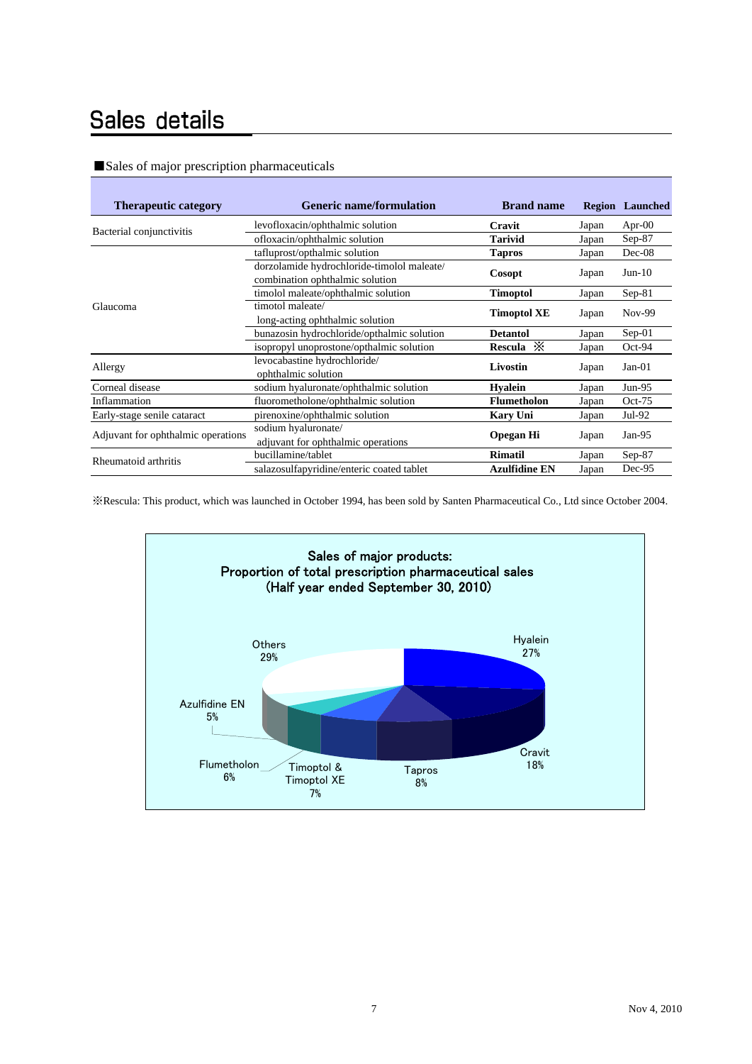### Sales details

| <b>Therapeutic category</b>        | <b>Generic name/formulation</b>                                               | <b>Brand name</b>    | Region | Launched  |
|------------------------------------|-------------------------------------------------------------------------------|----------------------|--------|-----------|
|                                    | levofloxacin/ophthalmic solution                                              | Cravit               | Japan  | Apr- $00$ |
| Bacterial conjunctivitis           | ofloxacin/ophthalmic solution                                                 | Tarivid              | Japan  | $Sep-87$  |
|                                    | tafluprost/opthalmic solution                                                 | <b>Tapros</b>        | Japan  | Dec-08    |
|                                    | dorzolamide hydrochloride-timolol maleate/<br>combination ophthalmic solution | <b>Cosopt</b>        | Japan  | $Jun-10$  |
|                                    | timolol maleate/ophthalmic solution                                           | <b>Timoptol</b>      | Japan  | $Sep-81$  |
| Glaucoma                           | timotol maleate/<br>long-acting ophthalmic solution                           | <b>Timoptol XE</b>   | Japan  | Nov-99    |
|                                    | bunazosin hydrochloride/opthalmic solution                                    | <b>Detantol</b>      | Japan  | $Sep-01$  |
|                                    | isopropyl unoprostone/opthalmic solution                                      | Rescula $\mathbb{X}$ | Japan  | $Oct-94$  |
| Allergy                            | levocabastine hydrochloride/<br>ophthalmic solution                           | Livostin             | Japan  | $Jan-01$  |
| Corneal disease                    | sodium hyaluronate/ophthalmic solution                                        | <b>Hyalein</b>       | Japan  | $Jun-95$  |
| Inflammation                       | fluorometholone/ophthalmic solution                                           | <b>Flumetholon</b>   | Japan  | $Oct-75$  |
| Early-stage senile cataract        | pirenoxine/ophthalmic solution                                                | <b>Kary Uni</b>      | Japan  | Jul-92    |
| Adjuvant for ophthalmic operations | sodium hyaluronate/<br>adjuvant for ophthalmic operations                     | <b>Opegan Hi</b>     | Japan  | $Jan-95$  |
| Rheumatoid arthritis               | bucillamine/tablet                                                            | <b>Rimatil</b>       | Japan  | $Sep-87$  |
|                                    | salazosulfapyridine/enteric coated tablet                                     | <b>Azulfidine EN</b> | Japan  | $Dec-95$  |

#### ■Sales of major prescription pharmaceuticals

※Rescula: This product, which was launched in October 1994, has been sold by Santen Pharmaceutical Co., Ltd since October 2004.

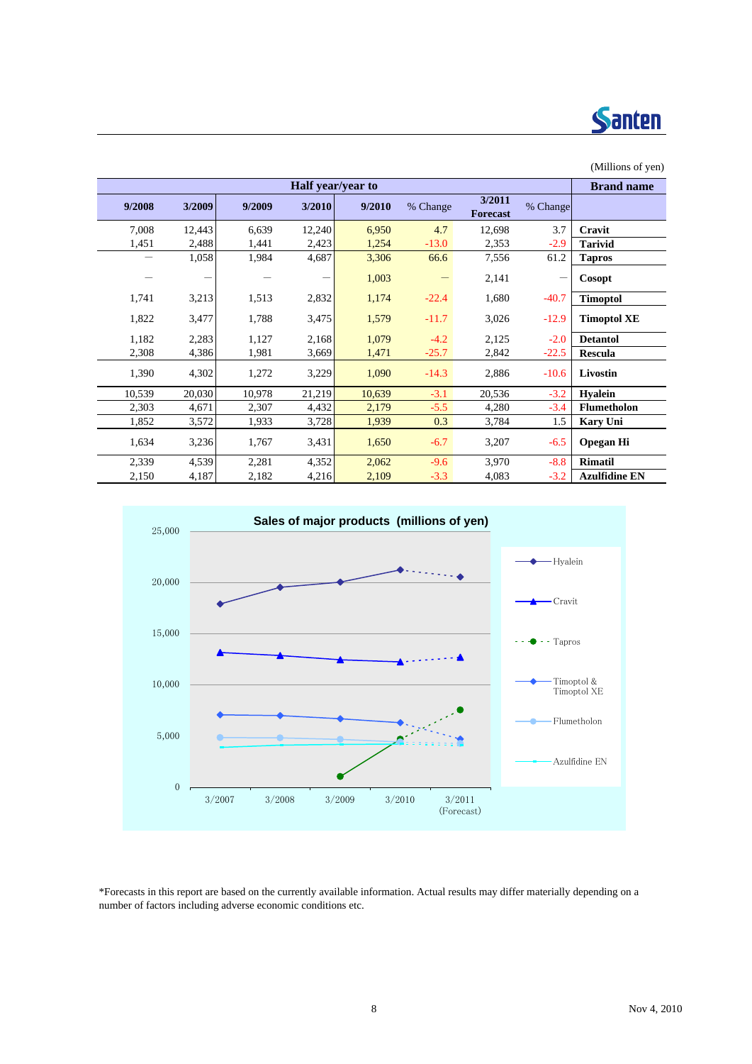

### (Millions of yen) **Brand name 9/2008 3/2009 9/2009 3/2010 9/2010** % Change **3/2011 Forecast** % Change 7,008 12,443 6,639 12,240 6,950 4.7 12,698 3.7 **Cravit** 1,451 2,488 1,441 2,423 1,254 -13.0 2,353 -2.9 **Tarivid** - 1,058 1,984 4,687 3,306 66.6 7,556 61.2 **Tapros** - - - - - 1,003 - 2,141 - Cosopt 1,741 3,213 1,513 2,832 1,174 -22.4 1,680 -40.7 **Timoptol** 1,822 3,477 1,788 3,475 1,579 -11.7 3,026 -12.9 **Timoptol XE** 1,182 2,283 1,127 2,168 1,079 -4.2 2,125 -2.0 **Detantol** 2,308 4,386 1,981 3,669 1,471 -25.7 2,842 -22.5 **Rescula** 1,390 4,302 1,272 3,229 1,090 -14.3 2,886 -10.6 **Livostin** 10,539 20,030 10,978 21,219 10,639 -3.1 20,536 -3.2 **Hyalein** 2,303 4,671 2,307 4,432 2,179 -5.5 4,280 -3.4 **Flumetholon** 1,852 3,572 1,933 3,728 1,939 0.3 3,784 1.5 **Kary Uni** 1,634 3,236 1,767 3,431 1,650 -6.7 3,207 -6.5 **Opegan Hi** 2,339 4,539 2,281 4,352 2,062 -9.6 3,970 -8.8 **Rimatil** 2,150 4,187 2,182 4,216 2,109 -3.3 4,083 -3.2 **Azulfidine EN Half year/year to**



\*Forecasts in this report are based on the currently available information. Actual results may differ materially depending on a number of factors including adverse economic conditions etc.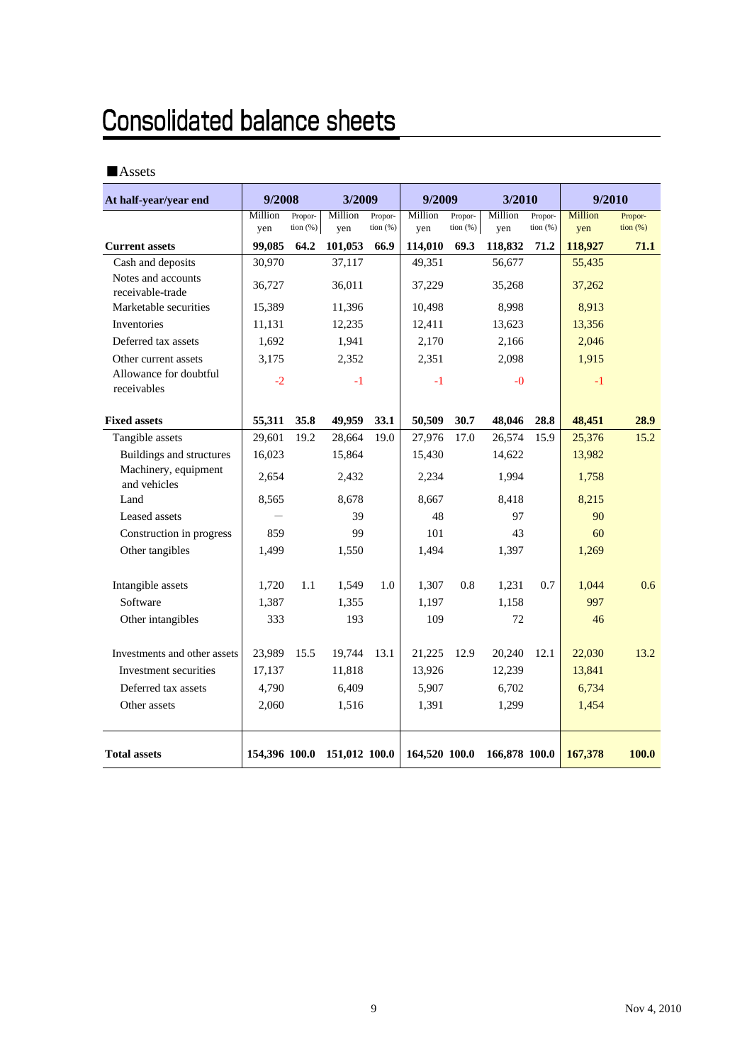# **Consolidated balance sheets**

### ■Assets

| At half-year/year end                  | 9/2008        |                        | 3/2009                      |                       | 9/2009         |                              | 3/2010         |                     | 9/2010         |                     |
|----------------------------------------|---------------|------------------------|-----------------------------|-----------------------|----------------|------------------------------|----------------|---------------------|----------------|---------------------|
|                                        | Million       | Propor-<br>tion $(\%)$ | Million<br>ven              | Propor-<br>tion $(%)$ | Million<br>ven | Propor-<br>$\frac{1}{2}$ (%) | Million<br>ven | Propor-<br>tion (%) | Million<br>yen | Propor-<br>tion (%) |
| <b>Current assets</b>                  | yen<br>99,085 | 64.2                   | 101,053                     | 66.9                  | 114,010        | 69.3                         | 118,832        | 71.2                | 118,927        | 71.1                |
| Cash and deposits                      | 30,970        |                        | 37,117                      |                       | 49,351         |                              | 56,677         |                     | 55,435         |                     |
| Notes and accounts<br>receivable-trade | 36,727        |                        | 36,011                      |                       | 37,229         |                              | 35,268         |                     | 37,262         |                     |
| Marketable securities                  | 15,389        |                        | 11,396                      |                       | 10,498         |                              | 8,998          |                     | 8,913          |                     |
| Inventories                            | 11,131        |                        | 12,235                      |                       | 12,411         |                              | 13,623         |                     | 13,356         |                     |
| Deferred tax assets                    | 1,692         |                        | 1,941                       |                       | 2,170          |                              | 2,166          |                     | 2,046          |                     |
| Other current assets                   | 3,175         |                        | 2,352                       |                       | 2,351          |                              | 2,098          |                     | 1,915          |                     |
| Allowance for doubtful<br>receivables  | $-2$          |                        | $-1$                        |                       | $-1$           |                              | $-0$           |                     | $-1$           |                     |
| <b>Fixed assets</b>                    | 55,311        | 35.8                   | 49,959                      | 33.1                  | 50,509         | 30.7                         | 48,046         | 28.8                | 48,451         | 28.9                |
| Tangible assets                        | 29,601        | 19.2                   | 28,664                      | 19.0                  | 27,976         | 17.0                         | 26,574         | 15.9                | 25,376         | 15.2                |
| <b>Buildings and structures</b>        | 16,023        |                        | 15,864                      |                       | 15,430         |                              | 14,622         |                     | 13,982         |                     |
| Machinery, equipment<br>and vehicles   | 2,654         |                        | 2,432                       |                       | 2,234          |                              | 1.994          |                     | 1,758          |                     |
| Land                                   | 8,565         |                        | 8,678                       |                       | 8,667          |                              | 8,418          |                     | 8,215          |                     |
| Leased assets                          |               |                        | 39                          |                       | 48             |                              | 97             |                     | 90             |                     |
| Construction in progress               | 859           |                        | 99                          |                       | 101            |                              | 43             |                     | 60             |                     |
| Other tangibles                        | 1,499         |                        | 1,494<br>1,550              |                       |                | 1,397                        |                | 1,269               |                |                     |
| Intangible assets                      | 1,720         | 1.1                    | 1,549                       | 1.0                   | 1,307          | 0.8                          | 1,231          | 0.7                 | 1,044          | 0.6                 |
| Software                               | 1,387         |                        | 1,355                       |                       | 1,197          |                              | 1,158          |                     | 997            |                     |
| Other intangibles                      | 333           |                        | 193                         |                       | 109            |                              | 72             |                     | 46             |                     |
| Investments and other assets           | 23,989        | 15.5                   | 19,744                      | 13.1                  | 21,225         | 12.9                         | 20,240         | 12.1                | 22,030         | 13.2                |
| Investment securities                  | 17,137        |                        | 11,818                      |                       | 13,926         |                              | 12,239         |                     | 13,841         |                     |
| Deferred tax assets                    | 4,790         |                        | 6,409                       |                       | 5,907          |                              | 6,702          |                     | 6,734          |                     |
| Other assets                           | 2,060         |                        | 1,516                       |                       | 1,391          |                              | 1,299          |                     | 1,454          |                     |
| <b>Total assets</b>                    |               |                        | 154,396 100.0 151,012 100.0 |                       | 164,520 100.0  |                              | 166,878 100.0  |                     | 167,378        | 100.0               |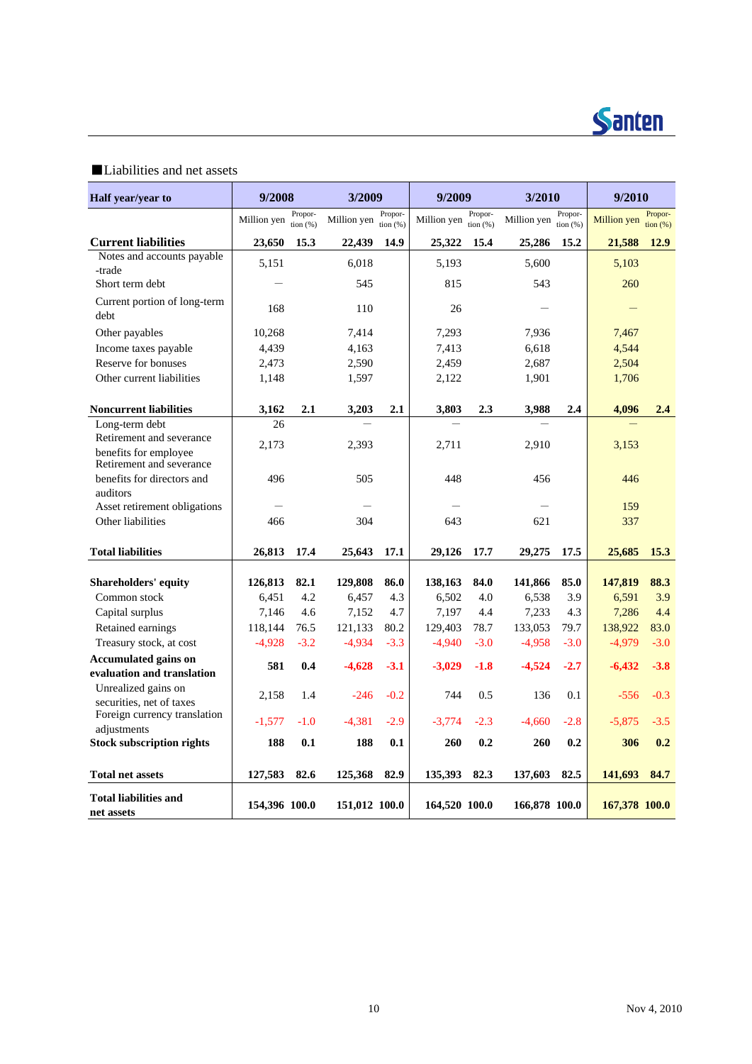

### ■Liabilities and net assets

| Half year/year to                                                             | 9/2008        |                        | 3/2009        |                        | 9/2009        |                        | 3/2010        |                     | 9/2010        |                           |
|-------------------------------------------------------------------------------|---------------|------------------------|---------------|------------------------|---------------|------------------------|---------------|---------------------|---------------|---------------------------|
|                                                                               | Million yen   | Propor-<br>tion $(% )$ | Million yen   | Propor-<br>tion $(% )$ | Million yen   | Propor-<br>tion $(% )$ | Million yen   | Propor-<br>tion (%) | Million yen   | Propor-<br>$\[\tan(96)\]$ |
| <b>Current liabilities</b>                                                    | 23,650        | 15.3                   | 22,439        | 14.9                   | 25,322        | 15.4                   | 25,286        | 15.2                | 21,588        | 12.9                      |
| Notes and accounts payable                                                    | 5,151         |                        | 6,018         |                        | 5,193         |                        | 5,600         |                     | 5,103         |                           |
| -trade                                                                        |               |                        |               |                        |               |                        |               |                     |               |                           |
| Short term debt                                                               |               |                        | 545           |                        | 815           |                        | 543           |                     | 260           |                           |
| Current portion of long-term<br>debt                                          | 168           |                        | 110           |                        | 26            |                        |               |                     |               |                           |
| Other payables                                                                | 10,268        |                        | 7,414         |                        | 7,293         |                        | 7,936         |                     | 7,467         |                           |
| Income taxes payable                                                          | 4,439         |                        | 4,163         |                        | 7,413         |                        | 6,618         |                     | 4,544         |                           |
| Reserve for bonuses                                                           | 2,473         |                        | 2,590         |                        | 2,459         |                        | 2,687         |                     | 2,504         |                           |
| Other current liabilities                                                     | 1,148         |                        | 1,597         |                        | 2,122         |                        | 1,901         |                     | 1,706         |                           |
| <b>Noncurrent liabilities</b>                                                 | 3,162         | 2.1                    | 3,203         | 2.1                    | 3.803         | 2.3                    | 3,988         | 2.4                 | 4,096         | 2.4                       |
| Long-term debt                                                                | 26            |                        |               |                        |               |                        |               |                     |               |                           |
| Retirement and severance<br>benefits for employee<br>Retirement and severance | 2,173         |                        | 2,393         |                        | 2,711         |                        | 2,910         |                     | 3,153         |                           |
| benefits for directors and                                                    | 496           |                        | 505           |                        | 448           |                        | 456           |                     | 446           |                           |
| auditors<br>Asset retirement obligations                                      |               |                        |               |                        |               |                        |               |                     | 159           |                           |
| Other liabilities                                                             | 466           |                        | 304           |                        | 643           |                        | 621           |                     | 337           |                           |
|                                                                               |               |                        |               |                        |               |                        |               |                     |               |                           |
| <b>Total liabilities</b>                                                      | 26,813        | 17.4                   | 25,643        | 17.1                   | 29,126        | 17.7                   | 29,275        | 17.5                | 25,685        | <b>15.3</b>               |
| <b>Shareholders' equity</b>                                                   | 126,813       | 82.1                   | 129,808       | 86.0                   | 138,163       | 84.0                   | 141,866       | 85.0                | 147,819       | 88.3                      |
| Common stock                                                                  | 6,451         | 4.2                    | 6,457         | 4.3                    | 6,502         | 4.0                    | 6,538         | 3.9                 | 6,591         | 3.9                       |
| Capital surplus                                                               | 7,146         | 4.6                    | 7,152         | 4.7                    | 7,197         | 4.4                    | 7,233         | 4.3                 | 7,286         | 4.4                       |
| Retained earnings                                                             | 118,144       | 76.5                   | 121,133       | 80.2                   | 129,403       | 78.7                   | 133,053       | 79.7                | 138,922       | 83.0                      |
| Treasury stock, at cost                                                       | $-4,928$      | $-3.2$                 | $-4,934$      | $-3.3$                 | $-4,940$      | $-3.0$                 | $-4,958$      | $-3.0$              | $-4,979$      | $-3.0$                    |
| <b>Accumulated gains on</b>                                                   | 581           | 0.4                    | $-4,628$      | $-3.1$                 | $-3,029$      | $-1.8$                 | $-4,524$      | $-2.7$              | $-6,432$      | $-3.8$                    |
| evaluation and translation                                                    |               |                        |               |                        |               |                        |               |                     |               |                           |
| Unrealized gains on<br>securities, net of taxes                               | 2,158         | 1.4                    | $-246$        | $-0.2$                 | 744           | 0.5                    | 136           | 0.1                 | $-556$        | $-0.3$                    |
| Foreign currency translation                                                  | $-1,577$      | $-1.0$                 | $-4,381$      | $-2.9$                 | $-3.774$      | $-2.3$                 | $-4,660$      | $-2.8$              | $-5,875$      | $-3.5$                    |
| adjustments                                                                   |               |                        |               |                        |               |                        |               |                     |               |                           |
| <b>Stock subscription rights</b>                                              | 188           | 0.1                    | 188           | 0.1                    | 260           | 0.2                    | 260<br>0.2    |                     | 306           | 0.2                       |
| <b>Total net assets</b>                                                       | 127,583       | 82.6                   | 125,368       | 82.9                   | 135,393       | 82.3                   | 137,603       | 82.5                | 141,693       | 84.7                      |
| <b>Total liabilities and</b><br>net assets                                    | 154,396 100.0 |                        | 151,012 100.0 |                        | 164,520 100.0 |                        | 166,878 100.0 |                     | 167,378 100.0 |                           |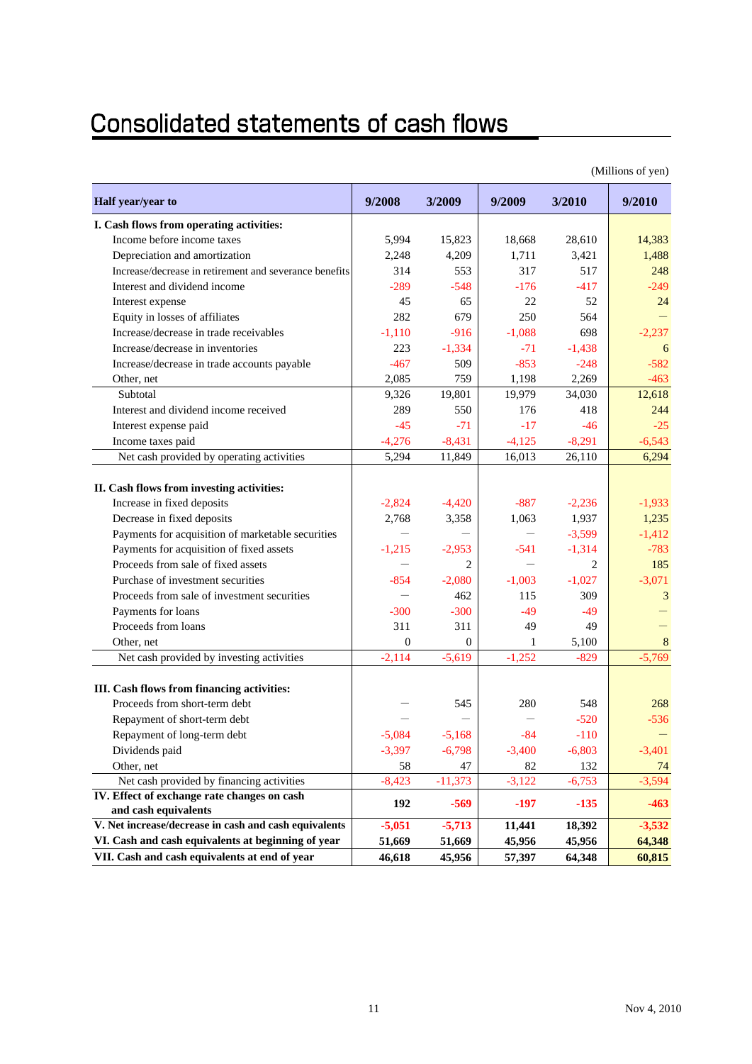# **Consolidated statements of cash flows**

|                                                        |              | (Millions of yen) |          |                |                |  |  |  |  |  |  |  |
|--------------------------------------------------------|--------------|-------------------|----------|----------------|----------------|--|--|--|--|--|--|--|
| Half year/year to                                      | 9/2008       | 3/2009            | 9/2009   | 3/2010         | 9/2010         |  |  |  |  |  |  |  |
| I. Cash flows from operating activities:               |              |                   |          |                |                |  |  |  |  |  |  |  |
| Income before income taxes                             | 5,994        | 15,823            | 18,668   | 28,610         | 14,383         |  |  |  |  |  |  |  |
| Depreciation and amortization                          | 2,248        | 4,209             | 1,711    | 3,421          | 1,488          |  |  |  |  |  |  |  |
| Increase/decrease in retirement and severance benefits | 314          | 553               | 317      | 517            | 248            |  |  |  |  |  |  |  |
| Interest and dividend income                           | $-289$       | $-548$            | $-176$   | $-417$         | $-249$         |  |  |  |  |  |  |  |
| Interest expense                                       | 45           | 65                | 22       | 52             | 24             |  |  |  |  |  |  |  |
| Equity in losses of affiliates                         | 282          | 679               | 250      | 564            |                |  |  |  |  |  |  |  |
| Increase/decrease in trade receivables                 | $-1,110$     | $-916$            | $-1,088$ | 698            | $-2,237$       |  |  |  |  |  |  |  |
| Increase/decrease in inventories                       | 223          | $-1,334$          | $-71$    | $-1,438$       | 6              |  |  |  |  |  |  |  |
| Increase/decrease in trade accounts payable            | $-467$       | 509               | $-853$   | $-248$         | $-582$         |  |  |  |  |  |  |  |
| Other, net                                             | 2,085        | 759               | 1,198    | 2,269          | $-463$         |  |  |  |  |  |  |  |
| Subtotal                                               | 9,326        | 19,801            | 19,979   | 34,030         | 12,618         |  |  |  |  |  |  |  |
| Interest and dividend income received                  | 289          | 550               | 176      | 418            | 244            |  |  |  |  |  |  |  |
| Interest expense paid                                  | $-45$        | $-71$             | $-17$    | $-46$          | $-25$          |  |  |  |  |  |  |  |
| Income taxes paid                                      | $-4,276$     | $-8,431$          | $-4,125$ | $-8,291$       | $-6,543$       |  |  |  |  |  |  |  |
| Net cash provided by operating activities              | 5,294        | 11,849            | 16,013   | 26,110         | 6,294          |  |  |  |  |  |  |  |
|                                                        |              |                   |          |                |                |  |  |  |  |  |  |  |
| II. Cash flows from investing activities:              |              |                   |          |                |                |  |  |  |  |  |  |  |
| Increase in fixed deposits                             | $-2,824$     | $-4,420$          | $-887$   | $-2,236$       | $-1,933$       |  |  |  |  |  |  |  |
| Decrease in fixed deposits                             | 2,768        | 3,358             | 1,063    | 1,937          | 1,235          |  |  |  |  |  |  |  |
| Payments for acquisition of marketable securities      |              |                   |          | $-3,599$       | $-1,412$       |  |  |  |  |  |  |  |
| Payments for acquisition of fixed assets               | $-1,215$     | $-2,953$          | $-541$   | $-1,314$       | $-783$         |  |  |  |  |  |  |  |
| Proceeds from sale of fixed assets                     |              | $\overline{c}$    | $\equiv$ | $\overline{c}$ | 185            |  |  |  |  |  |  |  |
| Purchase of investment securities                      | $-854$       | $-2,080$          | $-1,003$ | $-1,027$       | $-3,071$       |  |  |  |  |  |  |  |
| Proceeds from sale of investment securities            |              | 462               | 115      | 309            | 3              |  |  |  |  |  |  |  |
| Payments for loans                                     | $-300$       | $-300$            | $-49$    | $-49$          |                |  |  |  |  |  |  |  |
| Proceeds from loans                                    | 311          | 311               | 49       | 49             |                |  |  |  |  |  |  |  |
| Other, net                                             | $\mathbf{0}$ | $\mathbf{0}$      | 1        | 5,100          | 8              |  |  |  |  |  |  |  |
| Net cash provided by investing activities              | $-2,114$     | $-5,619$          | $-1,252$ | $-829$         | $-5,769$       |  |  |  |  |  |  |  |
| III. Cash flows from financing activities:             |              |                   |          |                |                |  |  |  |  |  |  |  |
| Proceeds from short-term debt                          |              | 545               | 280      | 548            | 268            |  |  |  |  |  |  |  |
| Repayment of short-term debt                           |              |                   |          | $-520$         | $-536$         |  |  |  |  |  |  |  |
| Repayment of long-term debt                            | $-5,084$     | $-5,168$          | -84      | $-110$         |                |  |  |  |  |  |  |  |
| Dividends paid                                         | $-3,397$     | $-6,798$          | $-3,400$ | $-6,803$       | $-3,401$       |  |  |  |  |  |  |  |
| Other, net                                             | 58           | 47                | 82       | 132            |                |  |  |  |  |  |  |  |
| Net cash provided by financing activities              | $-8,423$     | $-11,373$         | $-3,122$ | $-6,753$       | 74<br>$-3,594$ |  |  |  |  |  |  |  |
| IV. Effect of exchange rate changes on cash            |              |                   |          |                |                |  |  |  |  |  |  |  |
| and cash equivalents                                   | 192          | $-569$            | $-197$   | $-135$         | $-463$         |  |  |  |  |  |  |  |
| V. Net increase/decrease in cash and cash equivalents  | $-5,051$     | $-5,713$          | 11,441   | 18,392         | $-3,532$       |  |  |  |  |  |  |  |
| VI. Cash and cash equivalents at beginning of year     | 51,669       | 51,669            | 45,956   | 45,956         | 64,348         |  |  |  |  |  |  |  |
| VII. Cash and cash equivalents at end of year          | 46,618       | 45,956            | 57,397   | 64,348         | 60,815         |  |  |  |  |  |  |  |

 $(M)$ lions of  $(9)$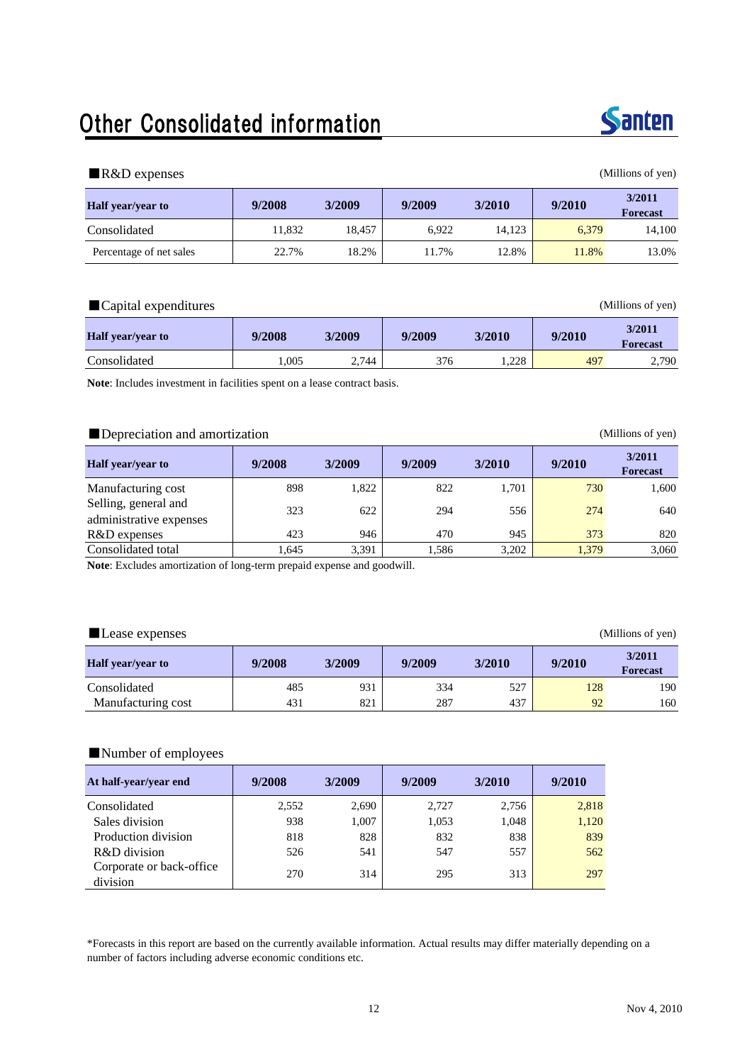# Other Consolidated information



#### ■R&D expenses (Millions of yen)

| <b>Half</b> year/year to | 9/2008 | 3/2009 | 9/2009 | 9/2010<br>3/2010 |       | 3/2011<br><b>Forecast</b> |
|--------------------------|--------|--------|--------|------------------|-------|---------------------------|
| Consolidated             | 11.832 | 18.457 | 6.922  | 14.123           | 6.379 | 14.100                    |
| Percentage of net sales  | 22.7%  | 18.2%  | 11.7%  | 12.8%            | 11.8% | 13.0%                     |

#### ■Capital expenditures (Millions of yen)

| <b>Half</b> vear/vear to | 9/2008 | 3/2009 | 9/2009 | 3/2010 | 9/2010 | 3/2011<br><b>Forecast</b> |
|--------------------------|--------|--------|--------|--------|--------|---------------------------|
| Consolidated             | 1.005  | 2,744  | 376    | 1.228  | 497    | 2,790                     |

**Note**: Includes investment in facilities spent on a lease contract basis.

#### ■Depreciation and amortization (Millions of yen)

| <b>Half</b> year/year to                        | 9/2008 | 3/2009 | 9/2009 | 3/2010 | 9/2010 | 3/2011<br><b>Forecast</b> |
|-------------------------------------------------|--------|--------|--------|--------|--------|---------------------------|
| Manufacturing cost                              | 898    | 1,822  | 822    | 1,701  | 730    | 1.600                     |
| Selling, general and<br>administrative expenses | 323    | 622    | 294    | 556    | 274    | 640                       |
| R&D expenses                                    | 423    | 946    | 470    | 945    | 373    | 820                       |
| Consolidated total                              | 1.645  | 3,391  | 1.586  | 3,202  | 1,379  | 3,060                     |

**Note**: Excludes amortization of long-term prepaid expense and goodwill.

#### ■Lease expenses (Millions of yen)

| Half year/year to  | 9/2008 | 3/2009 | 9/2009 | 3/2010 | 9/2010 | 3/2011<br><b>Forecast</b> |
|--------------------|--------|--------|--------|--------|--------|---------------------------|
| Consolidated       | 485    | 931    | 334    | 527    | 128    | 190                       |
| Manufacturing cost | 431    | 821    | 287    | 437    | 92     | 160                       |

#### ■Number of employees

| At half-year/year end                | 9/2008 | 3/2009 | 9/2009 | 3/2010 | 9/2010 |
|--------------------------------------|--------|--------|--------|--------|--------|
| Consolidated                         | 2.552  | 2,690  | 2.727  | 2.756  | 2,818  |
| Sales division                       | 938    | 1,007  | 1,053  | 1,048  | 1,120  |
| Production division                  | 818    | 828    | 832    | 838    | 839    |
| R&D division                         | 526    | 541    | 547    | 557    | 562    |
| Corporate or back-office<br>division | 270    | 314    | 295    | 313    | 297    |

\*Forecasts in this report are based on the currently available information. Actual results may differ materially depending on a number of factors including adverse economic conditions etc.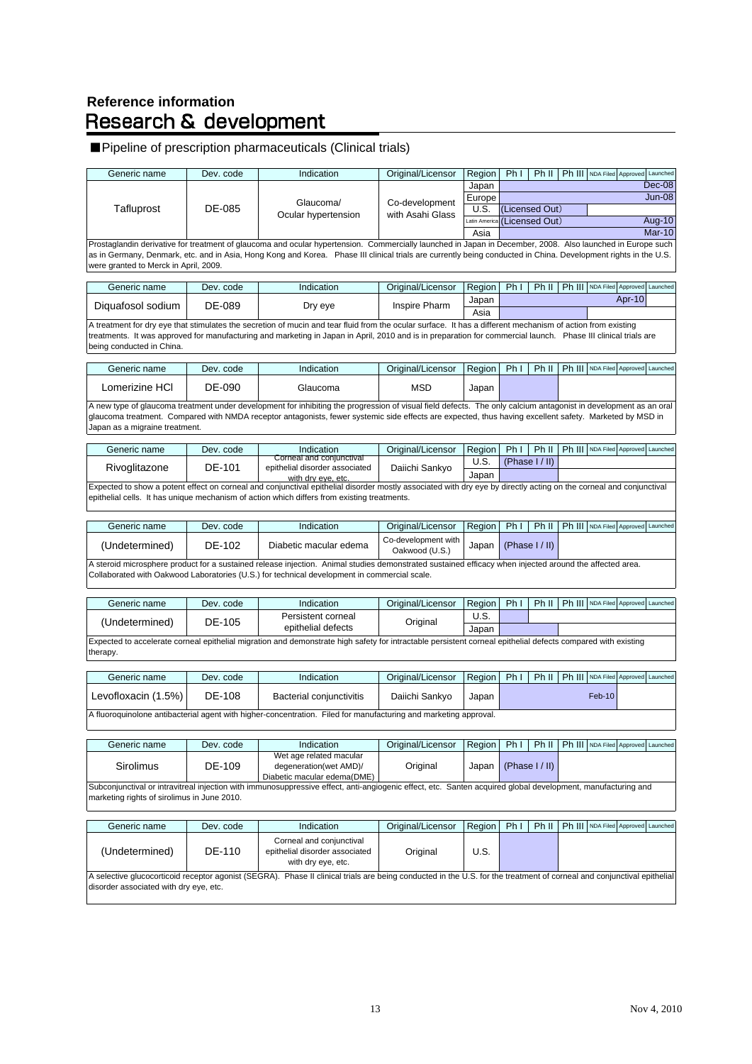# **Reference information<br>Research & development**

### ■Pipeline of prescription pharmaceuticals (Clinical trials)

| Generic name                                | Dev. code | Indication                                                                                                                                                                                                                                                                                                                    | Original/Licensor                     | Region        | Ph I | Ph II           |        |                  | Ph III NDA Filed Approved Launched |
|---------------------------------------------|-----------|-------------------------------------------------------------------------------------------------------------------------------------------------------------------------------------------------------------------------------------------------------------------------------------------------------------------------------|---------------------------------------|---------------|------|-----------------|--------|------------------|------------------------------------|
|                                             |           |                                                                                                                                                                                                                                                                                                                               |                                       | Japan         |      |                 |        |                  | Dec-08                             |
|                                             |           | Glaucoma/                                                                                                                                                                                                                                                                                                                     | Co-development                        | Europe        |      |                 |        |                  | <b>Jun-08</b>                      |
| Tafluprost                                  | DE-085    | Ocular hypertension                                                                                                                                                                                                                                                                                                           | with Asahi Glass                      | U.S.          |      | (Licensed Out)  |        |                  |                                    |
|                                             |           |                                                                                                                                                                                                                                                                                                                               |                                       | Latin America |      | (Licensed Out)  |        |                  | Aug-10                             |
|                                             |           |                                                                                                                                                                                                                                                                                                                               |                                       | Asia          |      |                 |        |                  | $Mar-10$                           |
| were granted to Merck in April, 2009.       |           | Prostaglandin derivative for treatment of glaucoma and ocular hypertension. Commercially launched in Japan in December, 2008. Also launched in Europe such<br>as in Germany, Denmark, etc. and in Asia, Hong Kong and Korea. Phase III clinical trials are currently being conducted in China. Development rights in the U.S. |                                       |               |      |                 |        |                  |                                    |
| Generic name                                | Dev. code | Indication                                                                                                                                                                                                                                                                                                                    | Original/Licensor                     | Region        | Ph I | Ph II           |        |                  | Ph III NDA Filed Approved Launched |
| Diquafosol sodium                           | DE-089    | Dry eye                                                                                                                                                                                                                                                                                                                       | Inspire Pharm                         | Japan<br>Asia |      |                 |        |                  | Apr-10                             |
| being conducted in China.                   |           | A treatment for dry eye that stimulates the secretion of mucin and tear fluid from the ocular surface. It has a different mechanism of action from existing<br>treatments. It was approved for manufacturing and marketing in Japan in April, 2010 and is in preparation for commercial launch. Phase III clinical trials are |                                       |               |      |                 |        |                  |                                    |
| Generic name                                | Dev. code | Indication                                                                                                                                                                                                                                                                                                                    | Original/Licensor                     | Region        | Ph I | Ph II           | Ph III |                  | NDA Filed Approved Launched        |
| Lomerizine HCI                              | DE-090    | Glaucoma                                                                                                                                                                                                                                                                                                                      | <b>MSD</b>                            | Japan         |      |                 |        |                  |                                    |
| Japan as a migraine treatment.              |           | A new type of glaucoma treatment under development for inhibiting the progression of visual field defects. The only calcium antagonist in development as an oral<br>glaucoma treatment. Compared with NMDA receptor antagonists, fewer systemic side effects are expected, thus having excellent safety. Marketed by MSD in   |                                       |               |      |                 |        |                  |                                    |
| Generic name                                | Dev. code | Indication                                                                                                                                                                                                                                                                                                                    | Original/Licensor                     | Region        | Ph I | Ph II           |        | Ph III NDA Filed | Approved<br>Launched               |
| Rivoglitazone                               | DE-101    | Corneal and conjunctival<br>epithelial disorder associated                                                                                                                                                                                                                                                                    | Daiichi Sankyo                        | U.S.          |      | (Phase I / II)  |        |                  |                                    |
|                                             |           | with dry eve, etc.                                                                                                                                                                                                                                                                                                            |                                       | Japan         |      |                 |        |                  |                                    |
|                                             |           | Expected to show a potent effect on corneal and conjunctival epithelial disorder mostly associated with dry eye by directly acting on the corneal and conjunctival<br>epithelial cells. It has unique mechanism of action which differs from existing treatments.                                                             |                                       |               |      |                 |        |                  |                                    |
| Generic name                                | Dev. code | Indication                                                                                                                                                                                                                                                                                                                    | Original/Licensor                     | Region        | Ph I | Ph II           |        |                  | Ph III NDA Filed Approved Launched |
| (Undetermined)                              | DE-102    | Diabetic macular edema                                                                                                                                                                                                                                                                                                        | Co-development with<br>Oakwood (U.S.) | Japan         |      | (Phase $I/II$ ) |        |                  |                                    |
|                                             |           | A steroid microsphere product for a sustained release injection. Animal studies demonstrated sustained efficacy when injected around the affected area.<br>Collaborated with Oakwood Laboratories (U.S.) for technical development in commercial scale.                                                                       |                                       |               |      |                 |        |                  |                                    |
| Generic name                                | Dev. code | Indication                                                                                                                                                                                                                                                                                                                    | Original/Licensor                     | Region        | Ph I | Ph II           |        |                  | Ph III NDA Filed Approved Launched |
| (Undetermined)                              | DE-105    | Persistent corneal<br>epithelial defects                                                                                                                                                                                                                                                                                      | Original                              | U.S.<br>Japan |      |                 |        |                  |                                    |
| therapy.                                    |           | Expected to accelerate corneal epithelial migration and demonstrate high safety for intractable persistent corneal epithelial defects compared with existing                                                                                                                                                                  |                                       |               |      |                 |        |                  |                                    |
|                                             |           |                                                                                                                                                                                                                                                                                                                               |                                       |               |      |                 |        |                  |                                    |
| Generic name                                | Dev. code | Indication                                                                                                                                                                                                                                                                                                                    | Original/Licensor                     | Region        | Ph I | Ph II           | Ph III | NDA Filed        | Approved<br>Launched               |
| Levofloxacin (1.5%)                         | DE-108    | Bacterial conjunctivitis                                                                                                                                                                                                                                                                                                      | Daiichi Sankyo                        | Japan         |      |                 |        | Feb-10           |                                    |
|                                             |           | A fluoroquinolone antibacterial agent with higher-concentration. Filed for manufacturing and marketing approval.                                                                                                                                                                                                              |                                       |               |      |                 |        |                  |                                    |
| Generic name                                | Dev. code | Indication                                                                                                                                                                                                                                                                                                                    | Original/Licensor                     | Region        | Ph I | Ph II           |        | Ph III NDA Filed | Approved Launched                  |
| Sirolimus                                   | DE-109    | Wet age related macular<br>degeneration(wet AMD)/                                                                                                                                                                                                                                                                             | Original                              | Japan         |      | (Phase $I/II$ ) |        |                  |                                    |
| marketing rights of sirolimus in June 2010. |           | Diabetic macular edema(DME)<br>Subconjunctival or intravitreal injection with immunosuppressive effect, anti-angiogenic effect, etc. Santen acquired global development, manufacturing and                                                                                                                                    |                                       |               |      |                 |        |                  |                                    |
| Generic name                                | Dev. code | Indication                                                                                                                                                                                                                                                                                                                    | Original/Licensor                     | Region        | Ph I | Ph II           |        |                  | Ph III NDA Filed Approved Launched |
| (Undetermined)                              | DE-110    | Corneal and conjunctival<br>epithelial disorder associated<br>with dry eye, etc.                                                                                                                                                                                                                                              | Original                              | U.S.          |      |                 |        |                  |                                    |
| disorder associated with dry eye, etc.      |           | A selective glucocorticoid receptor agonist (SEGRA). Phase II clinical trials are being conducted in the U.S. for the treatment of corneal and conjunctival epithelial                                                                                                                                                        |                                       |               |      |                 |        |                  |                                    |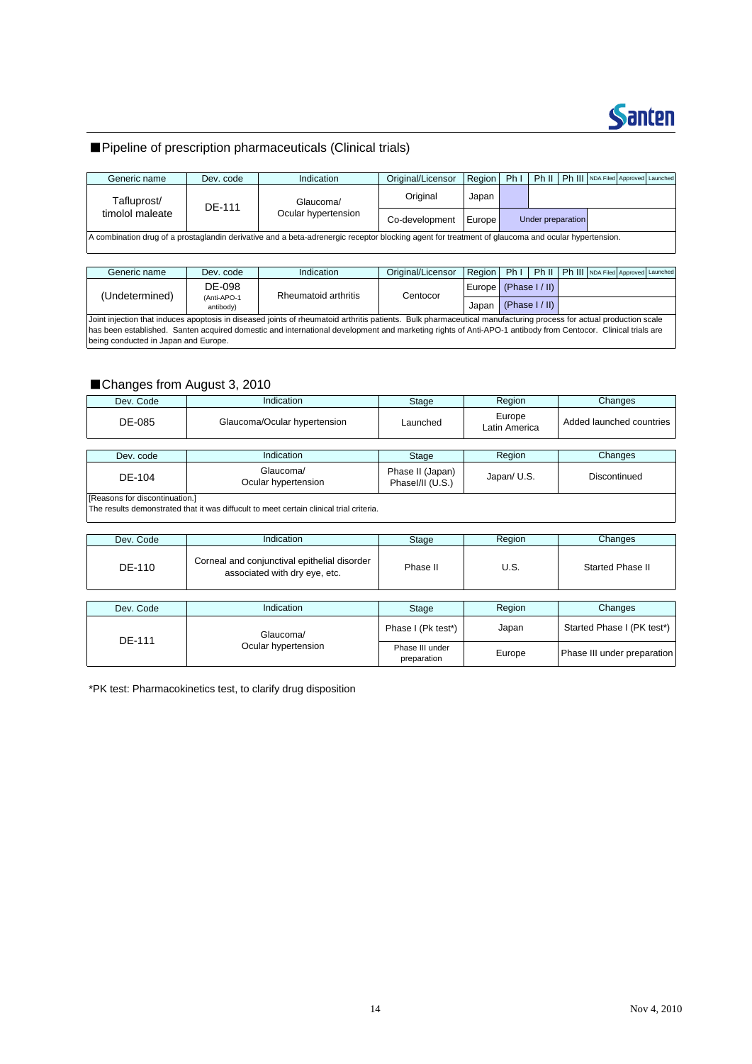

### ■Pipeline of prescription pharmaceuticals (Clinical trials)

| Generic name                   | Dev. code | Indication                                                                                                                                        | Original/Licensor | Region | Ph <sub>1</sub> | Ph II             | Ph III NDA Filed Approved Launched |  |
|--------------------------------|-----------|---------------------------------------------------------------------------------------------------------------------------------------------------|-------------------|--------|-----------------|-------------------|------------------------------------|--|
| Tafluprost/<br>timolol maleate | DE-111    | Glaucoma/                                                                                                                                         | Original          | Japan  |                 |                   |                                    |  |
|                                |           | Ocular hypertension                                                                                                                               | Co-development    | Europe |                 | Under preparation |                                    |  |
|                                |           | A combination drug of a prostaglandin derivative and a beta-adrenergic receptor blocking agent for treatment of glaucoma and ocular hypertension. |                   |        |                 |                   |                                    |  |

| Generic name                                                                                                                                                                                                                                                                                                                                                             | Dev. code                | Indication           | Original/Licensor | Region              | Ph1 | Ph II           |  | Ph III NDA Filed Approved Launched |  |  |
|--------------------------------------------------------------------------------------------------------------------------------------------------------------------------------------------------------------------------------------------------------------------------------------------------------------------------------------------------------------------------|--------------------------|----------------------|-------------------|---------------------|-----|-----------------|--|------------------------------------|--|--|
| (Undetermined)                                                                                                                                                                                                                                                                                                                                                           | DE-098                   | Rheumatoid arthritis | Centocor          | Europe (Phase I/II) |     |                 |  |                                    |  |  |
|                                                                                                                                                                                                                                                                                                                                                                          | (Anti-APO-1<br>antibody) |                      |                   | Japan               |     | (Phase $1/$ II) |  |                                    |  |  |
| Joint injection that induces apoptosis in diseased joints of rheumatoid arthritis patients. Bulk pharmaceutical manufacturing process for actual production scale<br>has been established. Santen acquired domestic and international development and marketing rights of Anti-APO-1 antibody from Centocor. Clinical trials are<br>being conducted in Japan and Europe. |                          |                      |                   |                     |     |                 |  |                                    |  |  |

### ■Changes from August 3, 2010

| Dev. Code                      | Indication                                                                              | Stage                                | Region                  | Changes                  |
|--------------------------------|-----------------------------------------------------------------------------------------|--------------------------------------|-------------------------|--------------------------|
| DE-085                         | Glaucoma/Ocular hypertension                                                            | Launched                             | Europe<br>Latin America | Added launched countries |
|                                |                                                                                         |                                      |                         |                          |
| Dev. code                      | Indication                                                                              | Stage                                | Region                  | Changes                  |
| DE-104                         | Glaucoma/<br>Ocular hypertension                                                        | Phase II (Japan)<br>Phasel/II (U.S.) | Japan/ U.S.             | Discontinued             |
| [Reasons for discontinuation.] |                                                                                         |                                      |                         |                          |
|                                | The results demonstrated that it was diffucult to meet certain clinical trial criteria. |                                      |                         |                          |

| Dev. Code | <b>Indication</b>                                                             | Stage                          | Region | Changes                     |
|-----------|-------------------------------------------------------------------------------|--------------------------------|--------|-----------------------------|
| DE-110    | Corneal and conjunctival epithelial disorder<br>associated with dry eye, etc. | Phase II                       | U.S.   | Started Phase II            |
|           |                                                                               |                                |        |                             |
| Dev. Code | Indication                                                                    | Stage                          | Region | Changes                     |
|           | Glaucoma/                                                                     | Phase I (Pk test*)             | Japan  | Started Phase I (PK test*)  |
| DE-111    | Ocular hypertension                                                           | Phase III under<br>preparation | Europe | Phase III under preparation |

\*PK test: Pharmacokinetics test, to clarify drug disposition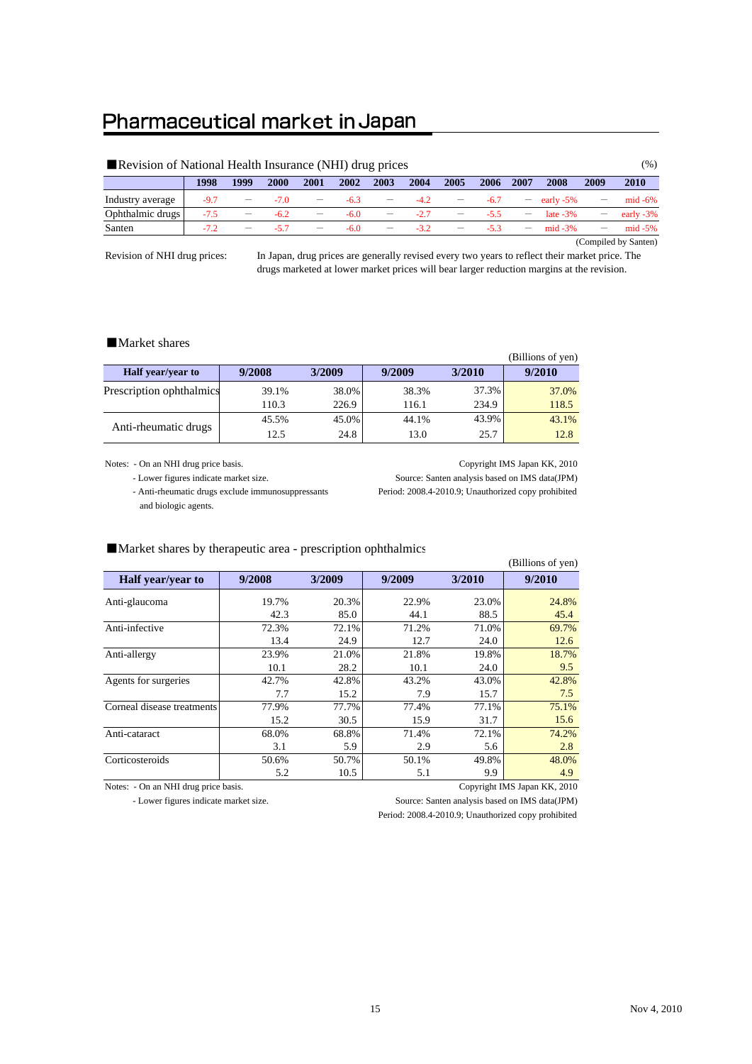### Pharmaceutical market in Japan

|                      | Revision of National Health Insurance (NHI) drug prices |                                |             |                          |        |                                 |        |                   |        |                   |               |      | $(\%)$       |
|----------------------|---------------------------------------------------------|--------------------------------|-------------|--------------------------|--------|---------------------------------|--------|-------------------|--------|-------------------|---------------|------|--------------|
|                      | 1998                                                    | 1999                           | <b>2000</b> | 2001                     | 2002   | 2003                            | 2004   | 2005              | 2006   | 2007              | 2008          | 2009 | 2010         |
| Industry average     | $-9.7$                                                  | $\qquad \qquad \longleftarrow$ | $-7.0$      | $\overline{\phantom{m}}$ | $-6.3$ | $\qquad \qquad \longleftarrow$  | $-4.2$ |                   | $-6.7$ |                   | $-$ early -5% |      | $mid -6\%$   |
| Ophthalmic drugs     | $-7.5$                                                  | –                              | $-6.2$      |                          | $-6.0$ | $\hspace{0.1mm}-\hspace{0.1mm}$ | $-2.7$ |                   | $-55$  |                   | late $-3\%$   |      | early $-3\%$ |
| Santen               | $-7.2$                                                  |                                | $-57$       | $\overline{\phantom{m}}$ | $-6.0$ |                                 | $-3.2$ | $\qquad \qquad -$ | $-53$  | $\qquad \qquad -$ | mid $-3\%$    |      | $mid -5%$    |
| (Compiled by Santen) |                                                         |                                |             |                          |        |                                 |        |                   |        |                   |               |      |              |

Revision of NHI drug prices:

In Japan, drug prices are generally revised every two years to reflect their market price. The drugs marketed at lower market prices will bear larger reduction margins at the revision.

#### ■Market shares

|                          |        |        |        |        | (Billions of yen) |
|--------------------------|--------|--------|--------|--------|-------------------|
| <b>Half</b> year/year to | 9/2008 | 3/2009 | 9/2009 | 3/2010 | 9/2010            |
| Prescription ophthalmics | 39.1%  | 38.0%  | 38.3%  | 37.3%  | 37.0%             |
|                          | 110.3  | 226.9  | 116.1  | 234.9  | 118.5             |
| Anti-rheumatic drugs     | 45.5%  | 45.0%  | 44.1%  | 43.9%  | 43.1%             |
|                          | 12.5   | 24.8   | 13.0   | 25.7   | 12.8              |

Notes: - On an NHI drug price basis. Copyright IMS Japan KK, 2010

- Lower figures indicate market size. Source: Santen analysis based on IMS data(JPM)

and biologic agents.

- Anti-rheumatic drugs exclude immunosuppressants Period: 2008.4-2010.9; Unauthorized copy prohibited

|                            |        |        |        |        | (Billions of yen) |
|----------------------------|--------|--------|--------|--------|-------------------|
| <b>Half</b> year/year to   | 9/2008 | 3/2009 | 9/2009 | 3/2010 | 9/2010            |
| Anti-glaucoma              | 19.7%  | 20.3%  | 22.9%  | 23.0%  | 24.8%             |
|                            | 42.3   | 85.0   | 44.1   | 88.5   | 45.4              |
| Anti-infective             | 72.3%  | 72.1%  | 71.2%  | 71.0%  | 69.7%             |
|                            | 13.4   | 24.9   | 12.7   | 24.0   | 12.6              |
| Anti-allergy               | 23.9%  | 21.0%  | 21.8%  | 19.8%  | 18.7%             |
|                            | 10.1   | 28.2   | 10.1   | 24.0   | 9.5               |
| Agents for surgeries       | 42.7%  | 42.8%  | 43.2%  | 43.0%  | 42.8%             |
|                            | 7.7    | 15.2   | 7.9    | 15.7   | 7.5               |
| Corneal disease treatments | 77.9%  | 77.7%  | 77.4%  | 77.1%  | 75.1%             |
|                            | 15.2   | 30.5   | 15.9   | 31.7   | 15.6              |
| Anti-cataract              | 68.0%  | 68.8%  | 71.4%  | 72.1%  | 74.2%             |
|                            | 3.1    | 5.9    | 2.9    | 5.6    | 2.8               |
| Corticosteroids            | 50.6%  | 50.7%  | 50.1%  | 49.8%  | 48.0%             |
|                            | 5.2    | 10.5   | 5.1    | 9.9    | 4.9               |

#### ■Market shares by therapeutic area - prescription ophthalmics

Notes: - On an NHI drug price basis. Copyright IMS Japan KK, 2010

- Lower figures indicate market size. Source: Santen analysis based on IMS data(JPM)

Period: 2008.4-2010.9; Unauthorized copy prohibited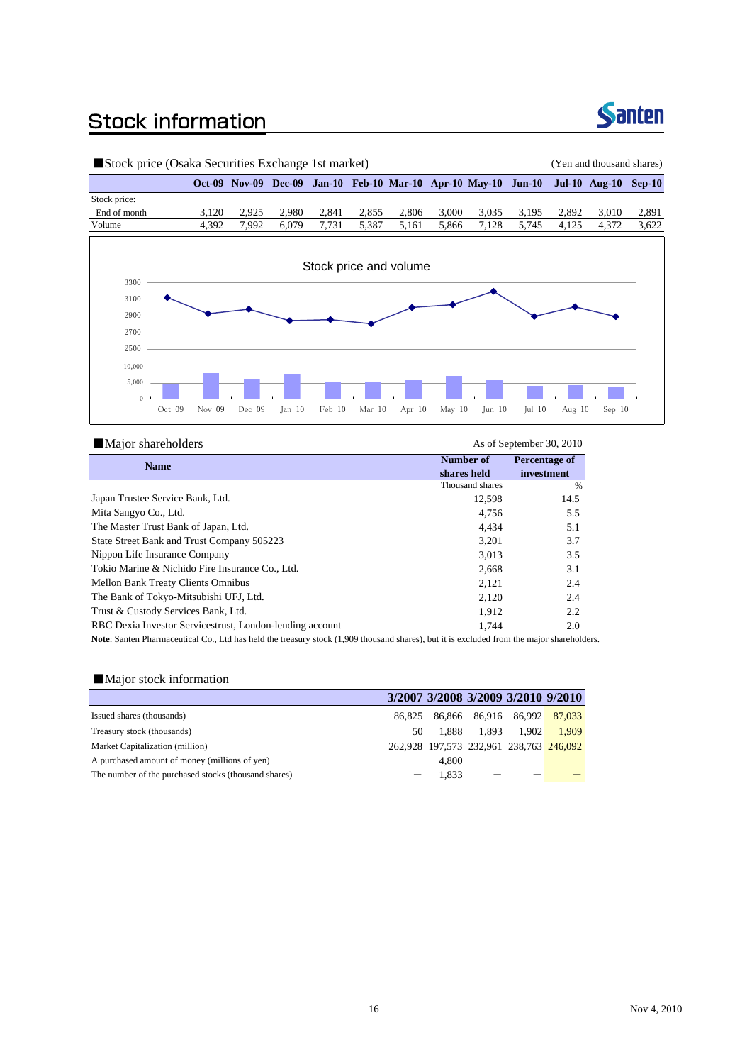## **Stock information**



| Stock price (Osaka Securities Exchange 1st market) |          |          |          |          |          |                                                                |          |          |          | (Yen and thousand shares) |                             |       |
|----------------------------------------------------|----------|----------|----------|----------|----------|----------------------------------------------------------------|----------|----------|----------|---------------------------|-----------------------------|-------|
|                                                    |          |          |          |          |          | Oct-09 Nov-09 Dec-09 Jan-10 Feb-10 Mar-10 Apr-10 May-10 Jun-10 |          |          |          |                           | <b>Jul-10 Aug-10 Sep-10</b> |       |
| Stock price:                                       |          |          |          |          |          |                                                                |          |          |          |                           |                             |       |
| End of month                                       | 3,120    | 2,925    | 2,980    | 2,841    | 2,855    | 2,806                                                          | 3,000    | 3,035    | 3,195    | 2,892                     | 3,010                       | 2,891 |
| Volume                                             | 4,392    | 7,992    | 6,079    | 7,731    | 5,387    | 5,161                                                          | 5,866    | 7,128    | 5,745    | 4,125                     | 4,372                       | 3,622 |
|                                                    |          |          |          |          |          | Stock price and volume                                         |          |          |          |                           |                             |       |
| 3300                                               |          |          |          |          |          |                                                                |          |          |          |                           |                             |       |
| 3100                                               |          |          |          |          |          |                                                                |          |          |          |                           |                             |       |
| 2900                                               |          |          |          |          |          |                                                                |          |          |          |                           |                             |       |
| 2700                                               |          |          |          |          |          |                                                                |          |          |          |                           |                             |       |
| 2500                                               |          |          |          |          |          |                                                                |          |          |          |                           |                             |       |
| 10,000                                             |          |          |          |          |          |                                                                |          |          |          |                           |                             |       |
| 5,000                                              |          |          |          |          |          |                                                                |          |          |          |                           |                             |       |
| $\mathbf{0}$                                       |          |          |          |          |          |                                                                |          |          |          |                           |                             |       |
| $Oct-09$                                           | $Nov-09$ | $Dec-09$ | $Jan-10$ | $Feb-10$ | $Mar-10$ | $Apr-10$                                                       | $May-10$ | $Jun-10$ | $Jul-10$ | $Aug-10$                  | $Sep-10$                    |       |

| <b>Major shareholders</b>                                |                 | As of September 30, 2010 |
|----------------------------------------------------------|-----------------|--------------------------|
| <b>Name</b>                                              | Number of       | Percentage of            |
|                                                          | shares held     | investment               |
|                                                          | Thousand shares | $\frac{0}{6}$            |
| Japan Trustee Service Bank, Ltd.                         | 12,598          | 14.5                     |
| Mita Sangyo Co., Ltd.                                    | 4.756           | 5.5                      |
| The Master Trust Bank of Japan, Ltd.                     | 4.434           | 5.1                      |
| State Street Bank and Trust Company 505223               | 3,201           | 3.7                      |
| Nippon Life Insurance Company                            | 3,013           | 3.5                      |
| Tokio Marine & Nichido Fire Insurance Co., Ltd.          | 2,668           | 3.1                      |
| Mellon Bank Treaty Clients Omnibus                       | 2,121           | 2.4                      |
| The Bank of Tokyo-Mitsubishi UFJ, Ltd.                   | 2,120           | 2.4                      |
| Trust & Custody Services Bank, Ltd.                      | 1,912           | 2.2                      |
| RBC Dexia Investor Servicestrust, London-lending account | 1,744           | 2.0                      |
|                                                          |                 |                          |

**Note**: Santen Pharmaceutical Co., Ltd has held the treasury stock (1,909 thousand shares), but it is excluded from the major shareholders.

### ■Major stock information

|                                                      |        |       |       | 3/2007 3/2008 3/2009 3/2010 9/2010      |       |
|------------------------------------------------------|--------|-------|-------|-----------------------------------------|-------|
| Issued shares (thousands)                            | 86.825 |       |       | 86,866 86,916 86,992 87,033             |       |
| Treasury stock (thousands)                           | 50     | 1.888 | 1.893 | 1.902                                   | 1.909 |
| Market Capitalization (million)                      |        |       |       | 262,928 197,573 232,961 238,763 246,092 |       |
| A purchased amount of money (millions of yen)        |        | 4.800 |       |                                         |       |
| The number of the purchased stocks (thousand shares) |        | 1.833 |       |                                         |       |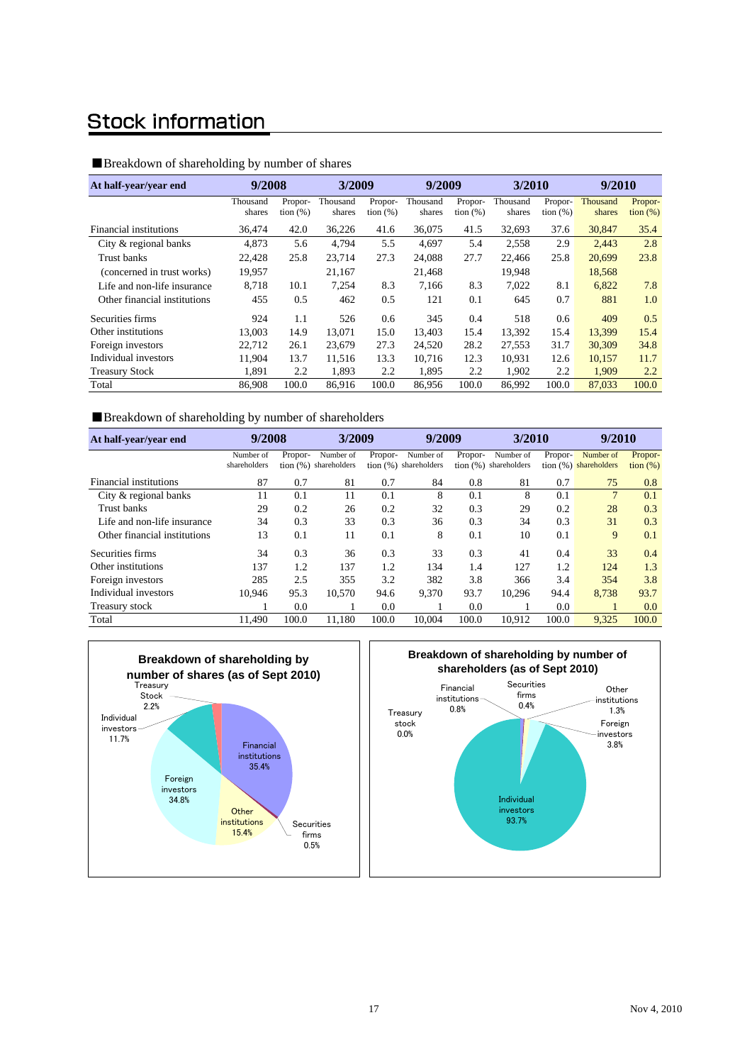### **Stock information**

#### ■Breakdown of shareholding by number of shares

| At half-year/year end        | 9/2008             |                         |                    | 3/2009                 |                    | 9/2009                 |                    | 3/2010                 |                    | 9/2010                       |  |
|------------------------------|--------------------|-------------------------|--------------------|------------------------|--------------------|------------------------|--------------------|------------------------|--------------------|------------------------------|--|
|                              | Thousand<br>shares | Propor-<br>tion $(\% )$ | Thousand<br>shares | Propor-<br>tion $(\%)$ | Thousand<br>shares | Propor-<br>tion $(\%)$ | Thousand<br>shares | Propor-<br>tion $(\%)$ | Thousand<br>shares | Propor-<br>$\frac{1}{2}$ (%) |  |
| Financial institutions       | 36,474             | 42.0                    | 36,226             | 41.6                   | 36,075             | 41.5                   | 32,693             | 37.6                   | 30,847             | 35.4                         |  |
| City & regional banks        | 4,873              | 5.6                     | 4,794              | 5.5                    | 4.697              | 5.4                    | 2,558              | 2.9                    | 2,443              | 2.8                          |  |
| Trust banks                  | 22.428             | 25.8                    | 23,714             | 27.3                   | 24,088             | 27.7                   | 22,466             | 25.8                   | 20.699             | 23.8                         |  |
| (concerned in trust works)   | 19,957             |                         | 21,167             |                        | 21,468             |                        | 19,948             |                        | 18,568             |                              |  |
| Life and non-life insurance  | 8.718              | 10.1                    | 7,254              | 8.3                    | 7.166              | 8.3                    | 7.022              | 8.1                    | 6,822              | 7.8                          |  |
| Other financial institutions | 455                | 0.5                     | 462                | 0.5                    | 121                | 0.1                    | 645                | 0.7                    | 881                | 1.0                          |  |
| Securities firms             | 924                | 1.1                     | 526                | 0.6                    | 345                | 0.4                    | 518                | 0.6                    | 409                | 0.5                          |  |
| Other institutions           | 13.003             | 14.9                    | 13,071             | 15.0                   | 13.403             | 15.4                   | 13,392             | 15.4                   | 13,399             | 15.4                         |  |
| Foreign investors            | 22.712             | 26.1                    | 23,679             | 27.3                   | 24,520             | 28.2                   | 27,553             | 31.7                   | 30,309             | 34.8                         |  |
| Individual investors         | 11.904             | 13.7                    | 11,516             | 13.3                   | 10.716             | 12.3                   | 10.931             | 12.6                   | 10,157             | 11.7                         |  |
| <b>Treasury Stock</b>        | 1,891              | 2.2                     | 1,893              | 2.2                    | 1,895              | 2.2                    | 1,902              | 2.2                    | 1,909              | 2.2                          |  |
| Total                        | 86,908             | 100.0                   | 86.916             | 100.0                  | 86,956             | 100.0                  | 86,992             | 100.0                  | 87.033             | 100.0                        |  |

#### ■Breakdown of shareholding by number of shareholders

| At half-year/year end        | 9/2008       |         |                         | 3/2009  |                         | 9/2009  |                         | 3/2010  |                       | 9/2010      |  |
|------------------------------|--------------|---------|-------------------------|---------|-------------------------|---------|-------------------------|---------|-----------------------|-------------|--|
|                              | Number of    | Propor- | Number of               | Propor- | Number of               | Propor- | Number of               | Propor- | Number of             | Propor-     |  |
|                              | shareholders |         | tion $(%)$ shareholders |         | tion $(%)$ shareholders |         | tion $(%)$ shareholders |         | tion (%) shareholders | tion $(\%)$ |  |
| Financial institutions       | 87           | 0.7     | 81                      | 0.7     | 84                      | 0.8     | 81                      | 0.7     | 75                    | 0.8         |  |
| City & regional banks        | 11           | 0.1     | 11                      | 0.1     | 8                       | 0.1     | 8                       | 0.1     | $\overline{7}$        | 0.1         |  |
| Trust banks                  | 29           | 0.2     | 26                      | 0.2     | 32                      | 0.3     | 29                      | 0.2     | 28                    | 0.3         |  |
| Life and non-life insurance  | 34           | 0.3     | 33                      | 0.3     | 36                      | 0.3     | 34                      | 0.3     | 31                    | 0.3         |  |
| Other financial institutions | 13           | 0.1     | 11                      | 0.1     | 8                       | 0.1     | 10                      | 0.1     | 9                     | 0.1         |  |
| Securities firms             | 34           | 0.3     | 36                      | 0.3     | 33                      | 0.3     | 41                      | 0.4     | 33                    | 0.4         |  |
| Other institutions           | 137          | 1.2     | 137                     | 1.2     | 134                     | 1.4     | 127                     | 1.2     | 124                   | 1.3         |  |
| Foreign investors            | 285          | 2.5     | 355                     | 3.2     | 382                     | 3.8     | 366                     | 3.4     | 354                   | 3.8         |  |
| Individual investors         | 10.946       | 95.3    | 10,570                  | 94.6    | 9,370                   | 93.7    | 10,296                  | 94.4    | 8,738                 | 93.7        |  |
| Treasury stock               |              | 0.0     |                         | 0.0     |                         | 0.0     |                         | 0.0     |                       | 0.0         |  |
| Total                        | 11.490       | 100.0   | 11.180                  | 100.0   | 10.004                  | 100.0   | 10.912                  | 100.0   | 9,325                 | 100.0       |  |



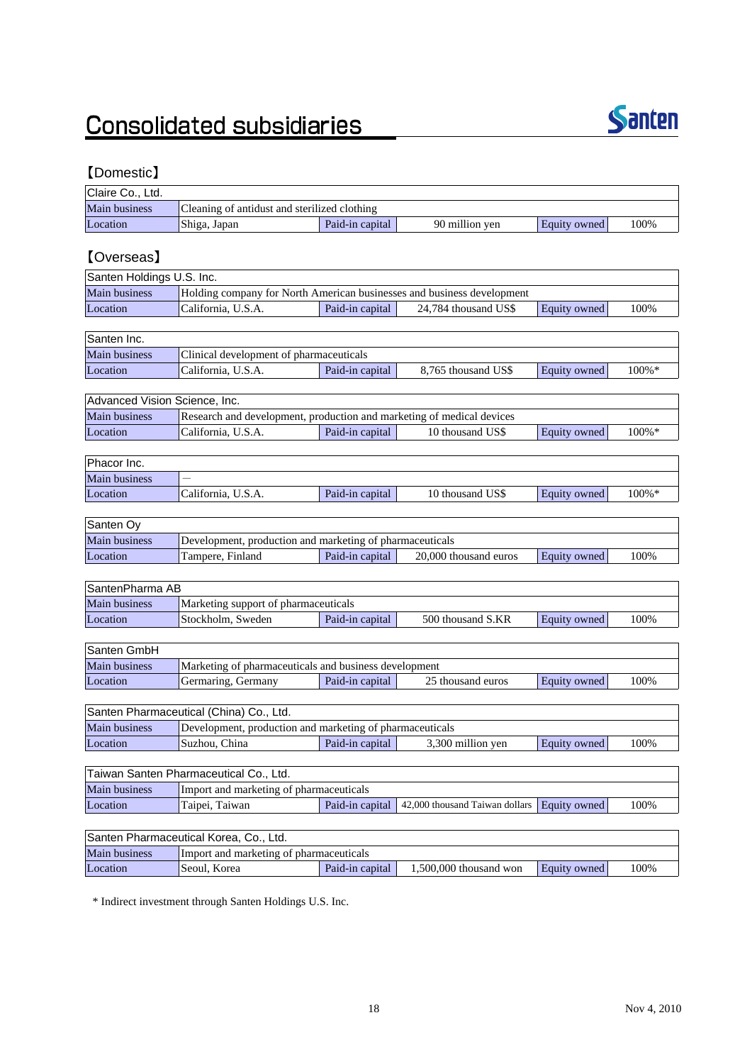# **Consolidated subsidiaries**



### 【Domestic】

| Claire Co., Ltd. |                                              |                 |                |              |      |
|------------------|----------------------------------------------|-----------------|----------------|--------------|------|
| Main business    | Cleaning of antidust and sterilized clothing |                 |                |              |      |
| Location         | Shiga, Japan                                 | Paid-in capital | 90 million ven | Equity owned | 100% |

### 【Overseas】

| Santen Holdings U.S. Inc. |                                                                        |                 |                      |              |       |  |  |  |  |
|---------------------------|------------------------------------------------------------------------|-----------------|----------------------|--------------|-------|--|--|--|--|
| <b>Main business</b>      | Holding company for North American businesses and business development |                 |                      |              |       |  |  |  |  |
| Location                  | California, U.S.A.                                                     | Paid-in capital | 24.784 thousand US\$ | Equity owned | 100\% |  |  |  |  |
|                           |                                                                        |                 |                      |              |       |  |  |  |  |
| Conton                    |                                                                        |                 |                      |              |       |  |  |  |  |

| <b>Santen Inc.</b>   |                                         |                 |                     |              |           |
|----------------------|-----------------------------------------|-----------------|---------------------|--------------|-----------|
| <b>Main business</b> | Clinical development of pharmaceuticals |                 |                     |              |           |
| Location             | California. U.S.A.                      | Paid-in capital | 8.765 thousand US\$ | Equity owned | $100\% *$ |

| Advanced Vision Science, Inc. |                                                                       |                 |                  |              |           |  |  |
|-------------------------------|-----------------------------------------------------------------------|-----------------|------------------|--------------|-----------|--|--|
| Main business                 | Research and development, production and marketing of medical devices |                 |                  |              |           |  |  |
| Location                      | California, U.S.A.                                                    | Paid-in capital | 10 thousand US\$ | Equity owned | $100\%$ * |  |  |

| Phacor Inc.   |                    |                 |                  |              |           |  |
|---------------|--------------------|-----------------|------------------|--------------|-----------|--|
| Main business |                    |                 |                  |              |           |  |
| Location      | California, U.S.A. | Paid-in capital | 10 thousand US\$ | Equity owned | $100\% *$ |  |
|               |                    |                 |                  |              |           |  |

| Santen Oy     |                                                          |                 |                       |              |      |  |  |  |
|---------------|----------------------------------------------------------|-----------------|-----------------------|--------------|------|--|--|--|
| Main business | Development, production and marketing of pharmaceuticals |                 |                       |              |      |  |  |  |
| Location      | Tampere, Finland                                         | Paid-in capital | 20,000 thousand euros | Equity owned | 100% |  |  |  |

| SantenPharma AB                                                                                 |                                      |  |  |  |  |  |  |
|-------------------------------------------------------------------------------------------------|--------------------------------------|--|--|--|--|--|--|
| <b>Main business</b>                                                                            | Marketing support of pharmaceuticals |  |  |  |  |  |  |
| 100%<br>Location<br>500 thousand S.KR<br>Paid-in capital<br> Stockholm. Sweden <br>Equity owned |                                      |  |  |  |  |  |  |

| Santen GmbH          |                                                       |                 |                   |              |      |
|----------------------|-------------------------------------------------------|-----------------|-------------------|--------------|------|
| <b>Main business</b> | Marketing of pharmaceuticals and business development |                 |                   |              |      |
| Location             | Germaring, Germany                                    | Paid-in capital | 25 thousand euros | Equity owned | 100% |

| Santen Pharmaceutical (China) Co., Ltd.                                                   |                                                          |  |  |  |  |  |  |
|-------------------------------------------------------------------------------------------|----------------------------------------------------------|--|--|--|--|--|--|
| <b>Main business</b>                                                                      | Development, production and marketing of pharmaceuticals |  |  |  |  |  |  |
| Location<br>100%<br>3.300 million yen<br>Paid-in capital<br>Suzhou, China<br>Equity owned |                                                          |  |  |  |  |  |  |

| Taiwan Santen Pharmaceutical Co., Ltd. |                                                                                           |  |  |  |  |  |  |
|----------------------------------------|-------------------------------------------------------------------------------------------|--|--|--|--|--|--|
| Main business                          | Import and marketing of pharmaceuticals                                                   |  |  |  |  |  |  |
| Location                               | 100%<br>Taipei, Taiwan<br>Paid-in capital   42,000 thousand Taiwan dollars   Equity owned |  |  |  |  |  |  |

| Santen Pharmaceutical Korea, Co., Ltd.                                                           |                                         |  |  |  |  |  |  |
|--------------------------------------------------------------------------------------------------|-----------------------------------------|--|--|--|--|--|--|
| <b>Main business</b>                                                                             | Import and marketing of pharmaceuticals |  |  |  |  |  |  |
| Location<br>100%<br> Seoul. Korea<br>Paid-in capital<br>$1.500.000$ thousand won<br>Equity owned |                                         |  |  |  |  |  |  |

\* Indirect investment through Santen Holdings U.S. Inc.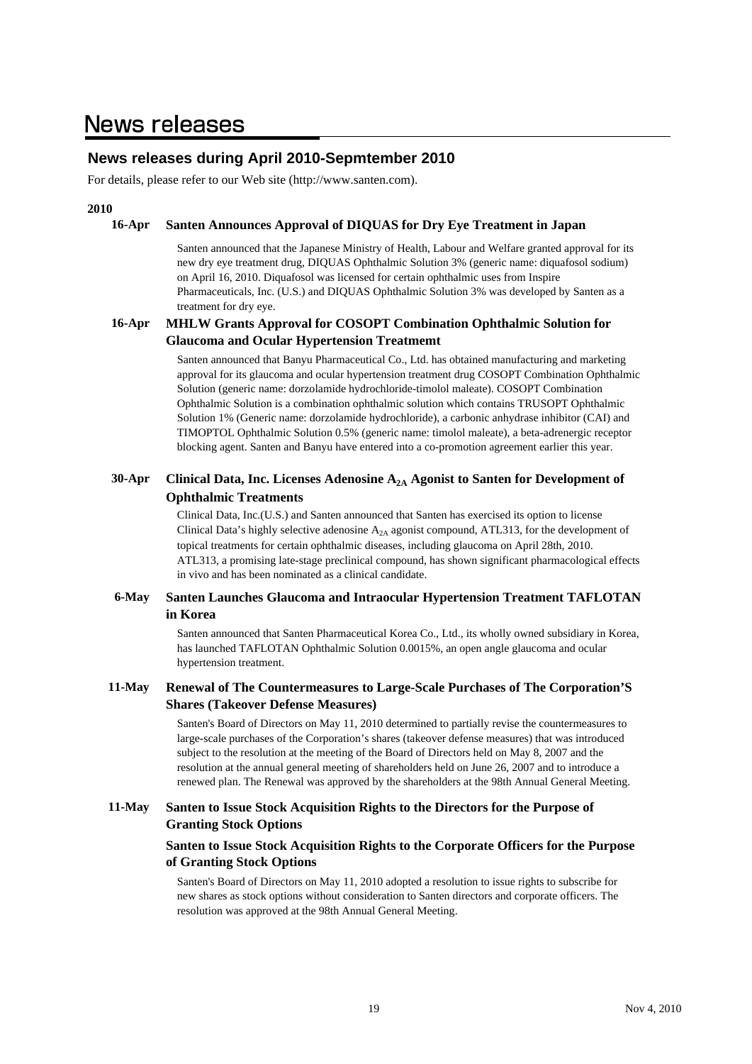### **News releases during April 2010-Sepmtember 2010**

For details, please refer to our Web site (http://www.santen.com).

#### **2010**

#### **16-Apr Santen Announces Approval of DIQUAS for Dry Eye Treatment in Japan**

Santen announced that the Japanese Ministry of Health, Labour and Welfare granted approval for its new dry eye treatment drug, DIQUAS Ophthalmic Solution 3% (generic name: diquafosol sodium) on April 16, 2010. Diquafosol was licensed for certain ophthalmic uses from Inspire Pharmaceuticals, Inc. (U.S.) and DIQUAS Ophthalmic Solution 3% was developed by Santen as a treatment for dry eye.

#### **16-Apr MHLW Grants Approval for COSOPT Combination Ophthalmic Solution for Glaucoma and Ocular Hypertension Treatmemt**

Santen announced that Banyu Pharmaceutical Co., Ltd. has obtained manufacturing and marketing approval for its glaucoma and ocular hypertension treatment drug COSOPT Combination Ophthalmic Solution (generic name: dorzolamide hydrochloride-timolol maleate). COSOPT Combination Ophthalmic Solution is a combination ophthalmic solution which contains TRUSOPT Ophthalmic Solution 1% (Generic name: dorzolamide hydrochloride), a carbonic anhydrase inhibitor (CAI) and TIMOPTOL Ophthalmic Solution 0.5% (generic name: timolol maleate), a beta-adrenergic receptor blocking agent. Santen and Banyu have entered into a co-promotion agreement earlier this year.

#### **30-Apr Clinical Data, Inc. Licenses Adenosine A2A Agonist to Santen for Development of Ophthalmic Treatments**

Clinical Data, Inc.(U.S.) and Santen announced that Santen has exercised its option to license Clinical Data's highly selective adenosine  $A_{2A}$  agonist compound, ATL313, for the development of topical treatments for certain ophthalmic diseases, including glaucoma on April 28th, 2010. ATL313, a promising late-stage preclinical compound, has shown significant pharmacological effects in vivo and has been nominated as a clinical candidate.

#### **6-May Santen Launches Glaucoma and Intraocular Hypertension Treatment TAFLOTAN in Korea**

Santen announced that Santen Pharmaceutical Korea Co., Ltd., its wholly owned subsidiary in Korea, has launched TAFLOTAN Ophthalmic Solution 0.0015%, an open angle glaucoma and ocular hypertension treatment.

#### **11-May Renewal of The Countermeasures to Large-Scale Purchases of The Corporation'S Shares (Takeover Defense Measures)**

Santen's Board of Directors on May 11, 2010 determined to partially revise the countermeasures to large-scale purchases of the Corporation's shares (takeover defense measures) that was introduced subject to the resolution at the meeting of the Board of Directors held on May 8, 2007 and the resolution at the annual general meeting of shareholders held on June 26, 2007 and to introduce a renewed plan. The Renewal was approved by the shareholders at the 98th Annual General Meeting.

#### **11-May Santen to Issue Stock Acquisition Rights to the Directors for the Purpose of Granting Stock Options**

#### **Santen to Issue Stock Acquisition Rights to the Corporate Officers for the Purpose of Granting Stock Options**

Santen's Board of Directors on May 11, 2010 adopted a resolution to issue rights to subscribe for new shares as stock options without consideration to Santen directors and corporate officers. The resolution was approved at the 98th Annual General Meeting.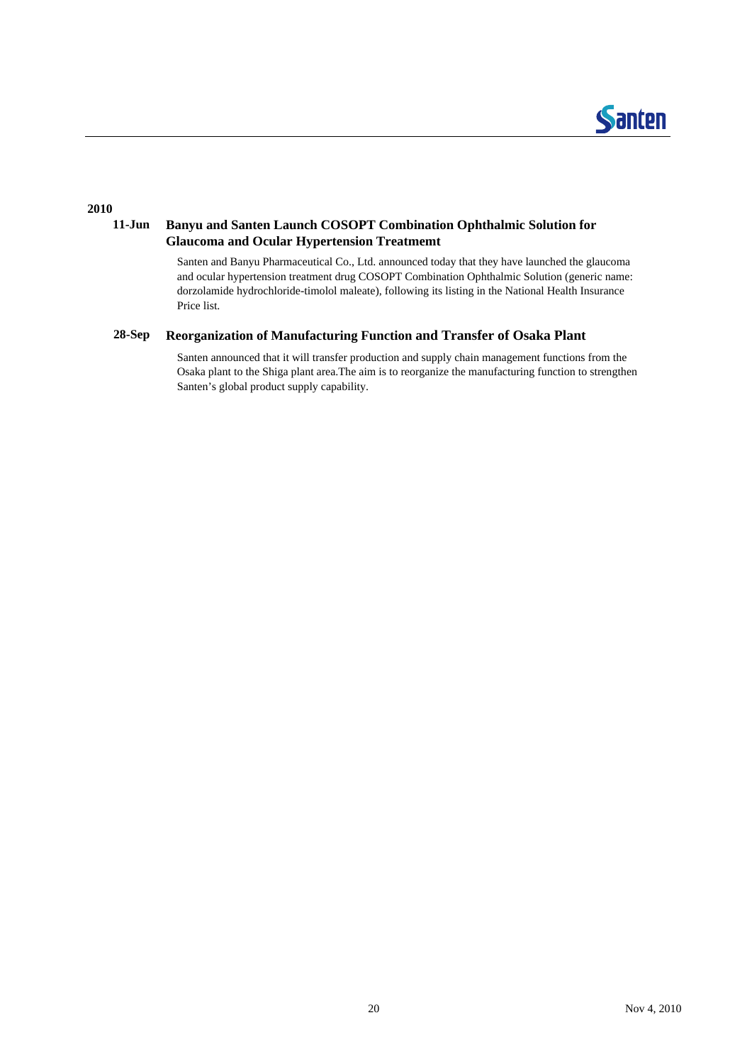

#### **2010**

#### **11-Jun Banyu and Santen Launch COSOPT Combination Ophthalmic Solution for Glaucoma and Ocular Hypertension Treatmemt**

Santen and Banyu Pharmaceutical Co., Ltd. announced today that they have launched the glaucoma and ocular hypertension treatment drug COSOPT Combination Ophthalmic Solution (generic name: dorzolamide hydrochloride-timolol maleate), following its listing in the National Health Insurance Price list.

#### **28-Sep Reorganization of Manufacturing Function and Transfer of Osaka Plant**

Santen announced that it will transfer production and supply chain management functions from the Osaka plant to the Shiga plant area.The aim is to reorganize the manufacturing function to strengthen Santen's global product supply capability.